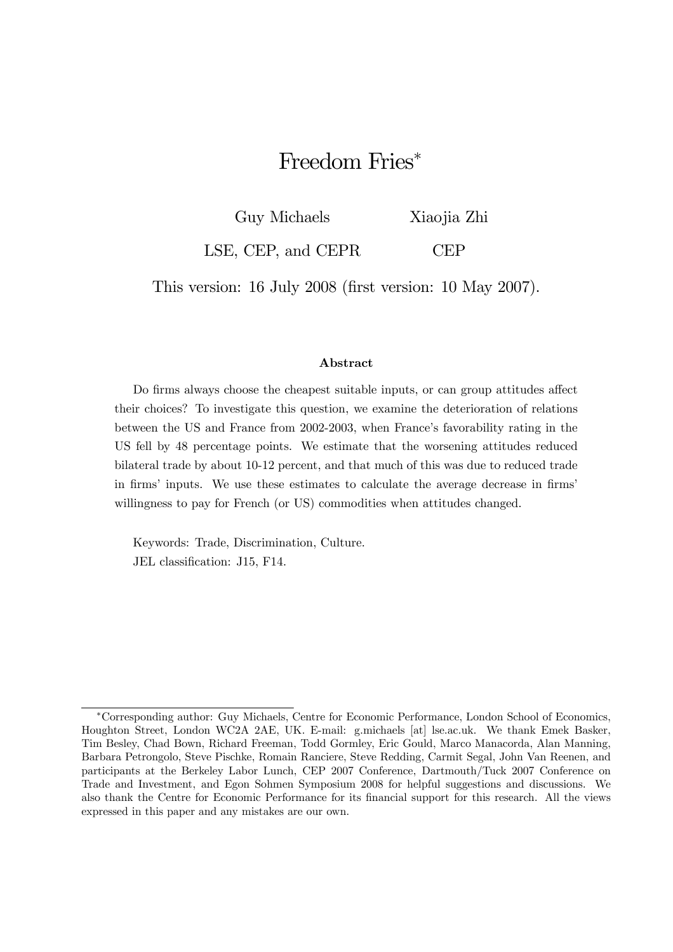# Freedom Fries<sup>\*</sup>

Guy Michaels Xiaojia Zhi

LSE, CEP, and CEPR CEP

This version: 16 July 2008 (first version: 10 May 2007).

#### Abstract

Do firms always choose the cheapest suitable inputs, or can group attitudes affect their choices? To investigate this question, we examine the deterioration of relations between the US and France from 2002-2003, when France's favorability rating in the US fell by 48 percentage points. We estimate that the worsening attitudes reduced bilateral trade by about 10-12 percent, and that much of this was due to reduced trade in firms' inputs. We use these estimates to calculate the average decrease in firms' willingness to pay for French (or US) commodities when attitudes changed.

Keywords: Trade, Discrimination, Culture. JEL classification: J15, F14.

<sup>∗</sup>Corresponding author: Guy Michaels, Centre for Economic Performance, London School of Economics, Houghton Street, London WC2A 2AE, UK. E-mail: g.michaels [at] lse.ac.uk. We thank Emek Basker, Tim Besley, Chad Bown, Richard Freeman, Todd Gormley, Eric Gould, Marco Manacorda, Alan Manning, Barbara Petrongolo, Steve Pischke, Romain Ranciere, Steve Redding, Carmit Segal, John Van Reenen, and participants at the Berkeley Labor Lunch, CEP 2007 Conference, Dartmouth/Tuck 2007 Conference on Trade and Investment, and Egon Sohmen Symposium 2008 for helpful suggestions and discussions. We also thank the Centre for Economic Performance for its financial support for this research. All the views expressed in this paper and any mistakes are our own.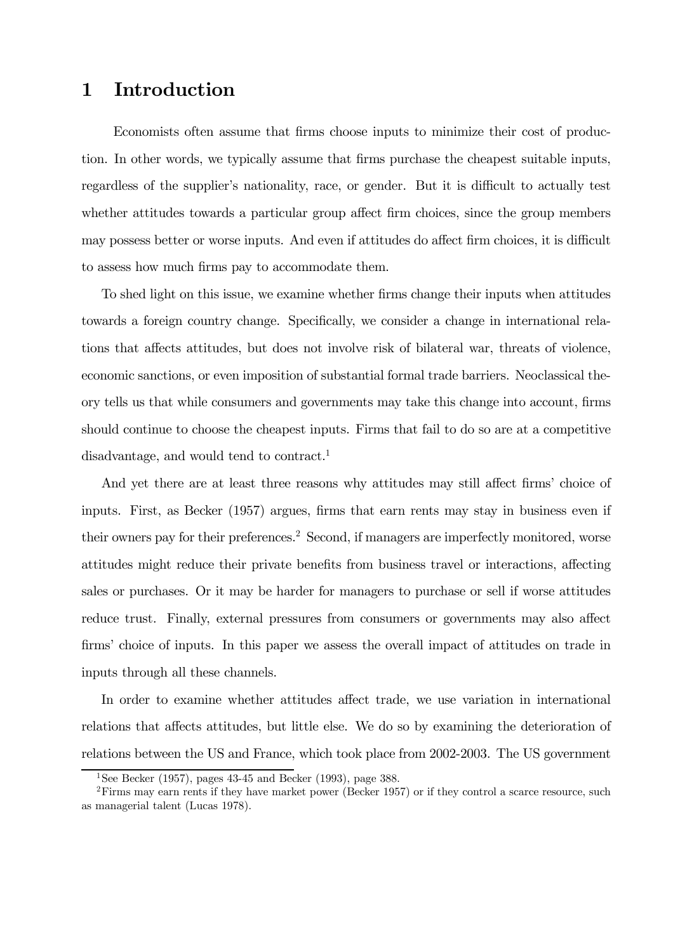#### 1 Introduction

Economists often assume that firms choose inputs to minimize their cost of production. In other words, we typically assume that firms purchase the cheapest suitable inputs, regardless of the supplier's nationality, race, or gender. But it is difficult to actually test whether attitudes towards a particular group affect firm choices, since the group members may possess better or worse inputs. And even if attitudes do affect firm choices, it is difficult to assess how much firms pay to accommodate them.

To shed light on this issue, we examine whether firms change their inputs when attitudes towards a foreign country change. Specifically, we consider a change in international relations that affects attitudes, but does not involve risk of bilateral war, threats of violence, economic sanctions, or even imposition of substantial formal trade barriers. Neoclassical theory tells us that while consumers and governments may take this change into account, firms should continue to choose the cheapest inputs. Firms that fail to do so are at a competitive disadvantage, and would tend to contract.<sup>1</sup>

And yet there are at least three reasons why attitudes may still affect firms' choice of inputs. First, as Becker (1957) argues, firms that earn rents may stay in business even if their owners pay for their preferences.<sup>2</sup> Second, if managers are imperfectly monitored, worse attitudes might reduce their private benefits from business travel or interactions, affecting sales or purchases. Or it may be harder for managers to purchase or sell if worse attitudes reduce trust. Finally, external pressures from consumers or governments may also affect firms' choice of inputs. In this paper we assess the overall impact of attitudes on trade in inputs through all these channels.

In order to examine whether attitudes affect trade, we use variation in international relations that affects attitudes, but little else. We do so by examining the deterioration of relations between the US and France, which took place from 2002-2003. The US government

<sup>&</sup>lt;sup>1</sup>See Becker (1957), pages  $43-45$  and Becker (1993), page 388.

 $2$ Firms may earn rents if they have market power (Becker 1957) or if they control a scarce resource, such as managerial talent (Lucas 1978).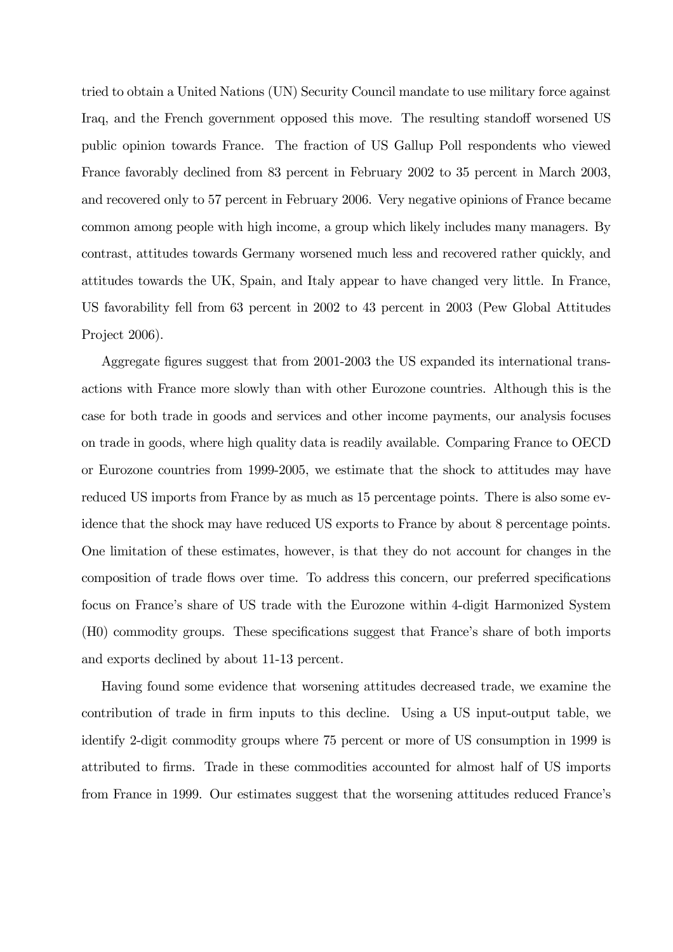tried to obtain a United Nations (UN) Security Council mandate to use military force against Iraq, and the French government opposed this move. The resulting standoff worsened US public opinion towards France. The fraction of US Gallup Poll respondents who viewed France favorably declined from 83 percent in February 2002 to 35 percent in March 2003, and recovered only to 57 percent in February 2006. Very negative opinions of France became common among people with high income, a group which likely includes many managers. By contrast, attitudes towards Germany worsened much less and recovered rather quickly, and attitudes towards the UK, Spain, and Italy appear to have changed very little. In France, US favorability fell from 63 percent in 2002 to 43 percent in 2003 (Pew Global Attitudes Project 2006).

Aggregate figures suggest that from 2001-2003 the US expanded its international transactions with France more slowly than with other Eurozone countries. Although this is the case for both trade in goods and services and other income payments, our analysis focuses on trade in goods, where high quality data is readily available. Comparing France to OECD or Eurozone countries from 1999-2005, we estimate that the shock to attitudes may have reduced US imports from France by as much as 15 percentage points. There is also some evidence that the shock may have reduced US exports to France by about 8 percentage points. One limitation of these estimates, however, is that they do not account for changes in the composition of trade flows over time. To address this concern, our preferred specifications focus on France's share of US trade with the Eurozone within 4-digit Harmonized System (H0) commodity groups. These specifications suggest that France's share of both imports and exports declined by about 11-13 percent.

Having found some evidence that worsening attitudes decreased trade, we examine the contribution of trade in firm inputs to this decline. Using a US input-output table, we identify 2-digit commodity groups where 75 percent or more of US consumption in 1999 is attributed to firms. Trade in these commodities accounted for almost half of US imports from France in 1999. Our estimates suggest that the worsening attitudes reduced France's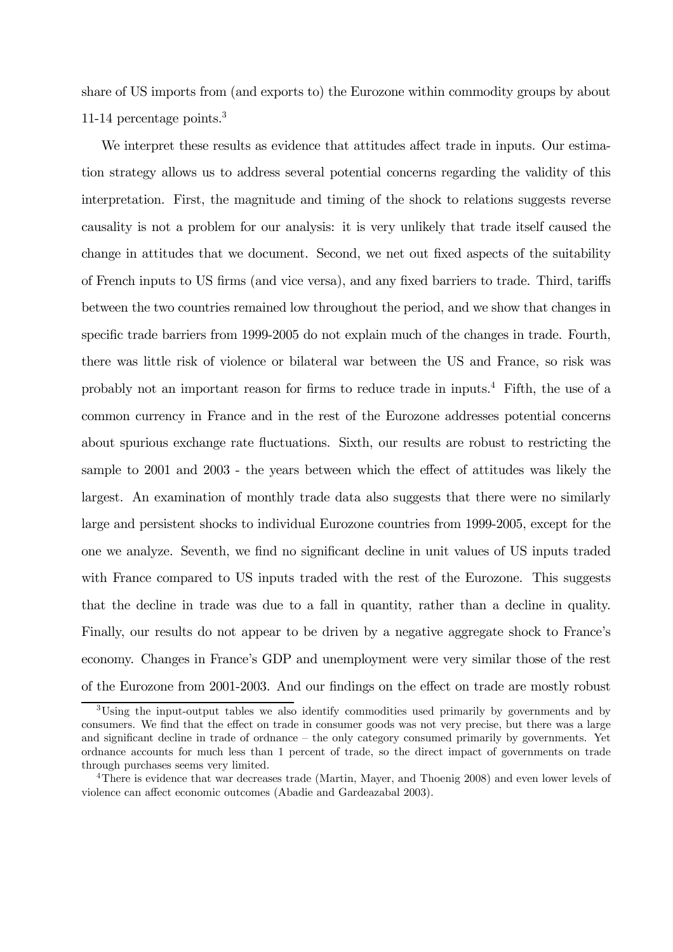share of US imports from (and exports to) the Eurozone within commodity groups by about 11-14 percentage points.3

We interpret these results as evidence that attitudes affect trade in inputs. Our estimation strategy allows us to address several potential concerns regarding the validity of this interpretation. First, the magnitude and timing of the shock to relations suggests reverse causality is not a problem for our analysis: it is very unlikely that trade itself caused the change in attitudes that we document. Second, we net out fixed aspects of the suitability of French inputs to US firms (and vice versa), and any fixed barriers to trade. Third, tariffs between the two countries remained low throughout the period, and we show that changes in specific trade barriers from 1999-2005 do not explain much of the changes in trade. Fourth, there was little risk of violence or bilateral war between the US and France, so risk was probably not an important reason for firms to reduce trade in inputs.4 Fifth, the use of a common currency in France and in the rest of the Eurozone addresses potential concerns about spurious exchange rate fluctuations. Sixth, our results are robust to restricting the sample to 2001 and 2003 - the years between which the effect of attitudes was likely the largest. An examination of monthly trade data also suggests that there were no similarly large and persistent shocks to individual Eurozone countries from 1999-2005, except for the one we analyze. Seventh, we find no significant decline in unit values of US inputs traded with France compared to US inputs traded with the rest of the Eurozone. This suggests that the decline in trade was due to a fall in quantity, rather than a decline in quality. Finally, our results do not appear to be driven by a negative aggregate shock to France's economy. Changes in France's GDP and unemployment were very similar those of the rest of the Eurozone from 2001-2003. And our findings on the effect on trade are mostly robust

<sup>&</sup>lt;sup>3</sup>Using the input-output tables we also identify commodities used primarily by governments and by consumers. We find that the effect on trade in consumer goods was not very precise, but there was a large and significant decline in trade of ordnance — the only category consumed primarily by governments. Yet ordnance accounts for much less than 1 percent of trade, so the direct impact of governments on trade through purchases seems very limited.

<sup>4</sup>There is evidence that war decreases trade (Martin, Mayer, and Thoenig 2008) and even lower levels of violence can affect economic outcomes (Abadie and Gardeazabal 2003).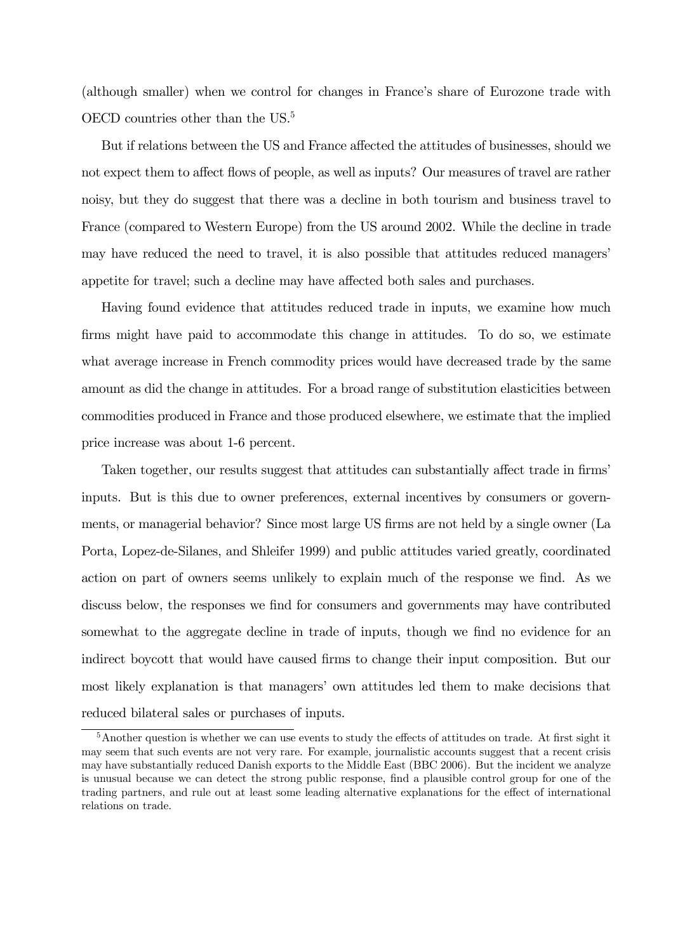(although smaller) when we control for changes in France's share of Eurozone trade with OECD countries other than the US.<sup>5</sup>

But if relations between the US and France affected the attitudes of businesses, should we not expect them to affect flows of people, as well as inputs? Our measures of travel are rather noisy, but they do suggest that there was a decline in both tourism and business travel to France (compared to Western Europe) from the US around 2002. While the decline in trade may have reduced the need to travel, it is also possible that attitudes reduced managers' appetite for travel; such a decline may have affected both sales and purchases.

Having found evidence that attitudes reduced trade in inputs, we examine how much firms might have paid to accommodate this change in attitudes. To do so, we estimate what average increase in French commodity prices would have decreased trade by the same amount as did the change in attitudes. For a broad range of substitution elasticities between commodities produced in France and those produced elsewhere, we estimate that the implied price increase was about 1-6 percent.

Taken together, our results suggest that attitudes can substantially affect trade in firms' inputs. But is this due to owner preferences, external incentives by consumers or governments, or managerial behavior? Since most large US firms are not held by a single owner (La Porta, Lopez-de-Silanes, and Shleifer 1999) and public attitudes varied greatly, coordinated action on part of owners seems unlikely to explain much of the response we find. As we discuss below, the responses we find for consumers and governments may have contributed somewhat to the aggregate decline in trade of inputs, though we find no evidence for an indirect boycott that would have caused firms to change their input composition. But our most likely explanation is that managers' own attitudes led them to make decisions that reduced bilateral sales or purchases of inputs.

<sup>&</sup>lt;sup>5</sup>Another question is whether we can use events to study the effects of attitudes on trade. At first sight it may seem that such events are not very rare. For example, journalistic accounts suggest that a recent crisis may have substantially reduced Danish exports to the Middle East (BBC 2006). But the incident we analyze is unusual because we can detect the strong public response, find a plausible control group for one of the trading partners, and rule out at least some leading alternative explanations for the effect of international relations on trade.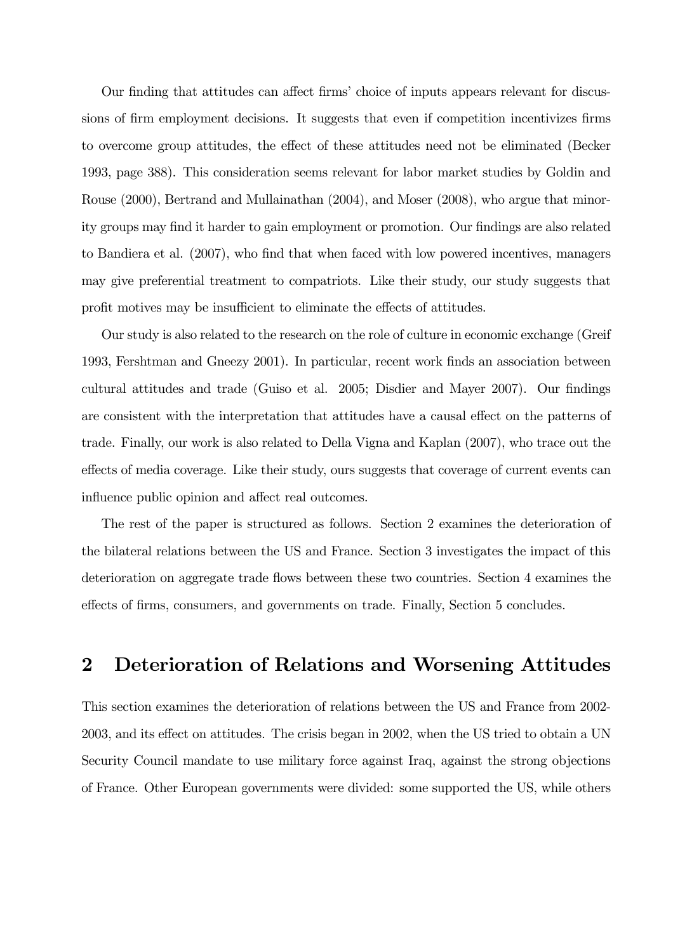Our finding that attitudes can affect firms' choice of inputs appears relevant for discussions of firm employment decisions. It suggests that even if competition incentivizes firms to overcome group attitudes, the effect of these attitudes need not be eliminated (Becker 1993, page 388). This consideration seems relevant for labor market studies by Goldin and Rouse (2000), Bertrand and Mullainathan (2004), and Moser (2008), who argue that minority groups may find it harder to gain employment or promotion. Our findings are also related to Bandiera et al. (2007), who find that when faced with low powered incentives, managers may give preferential treatment to compatriots. Like their study, our study suggests that profit motives may be insufficient to eliminate the effects of attitudes.

Our study is also related to the research on the role of culture in economic exchange (Greif 1993, Fershtman and Gneezy 2001). In particular, recent work finds an association between cultural attitudes and trade (Guiso et al. 2005; Disdier and Mayer 2007). Our findings are consistent with the interpretation that attitudes have a causal effect on the patterns of trade. Finally, our work is also related to Della Vigna and Kaplan (2007), who trace out the effects of media coverage. Like their study, ours suggests that coverage of current events can influence public opinion and affect real outcomes.

The rest of the paper is structured as follows. Section 2 examines the deterioration of the bilateral relations between the US and France. Section 3 investigates the impact of this deterioration on aggregate trade flows between these two countries. Section 4 examines the effects of firms, consumers, and governments on trade. Finally, Section 5 concludes.

## 2 Deterioration of Relations and Worsening Attitudes

This section examines the deterioration of relations between the US and France from 2002- 2003, and its effect on attitudes. The crisis began in 2002, when the US tried to obtain a UN Security Council mandate to use military force against Iraq, against the strong objections of France. Other European governments were divided: some supported the US, while others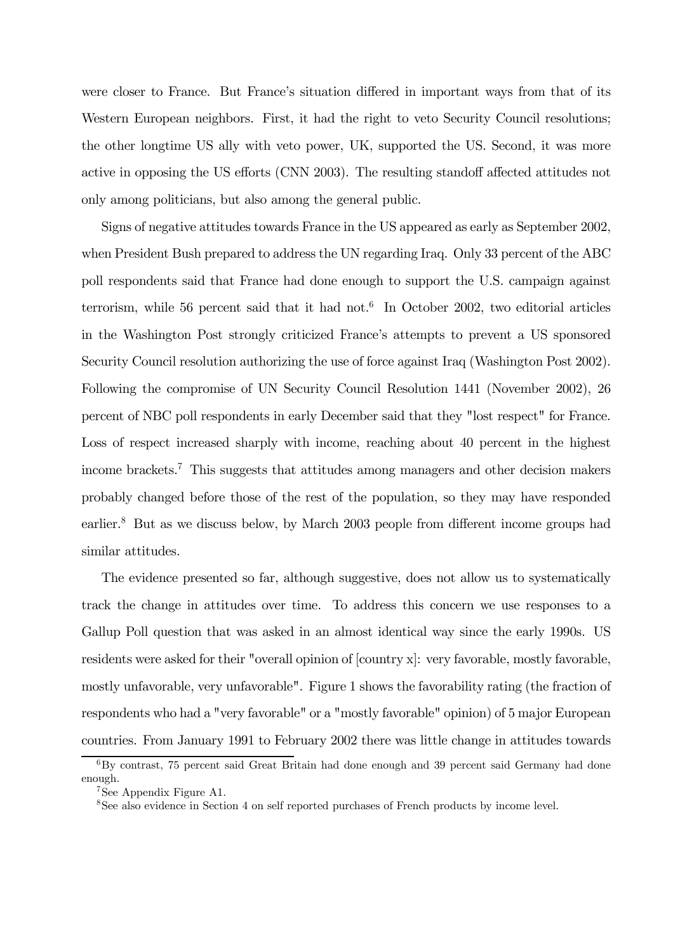were closer to France. But France's situation differed in important ways from that of its Western European neighbors. First, it had the right to veto Security Council resolutions; the other longtime US ally with veto power, UK, supported the US. Second, it was more active in opposing the US efforts (CNN 2003). The resulting standoff affected attitudes not only among politicians, but also among the general public.

Signs of negative attitudes towards France in the US appeared as early as September 2002, when President Bush prepared to address the UN regarding Iraq. Only 33 percent of the ABC poll respondents said that France had done enough to support the U.S. campaign against terrorism, while 56 percent said that it had not.<sup>6</sup> In October 2002, two editorial articles in the Washington Post strongly criticized France's attempts to prevent a US sponsored Security Council resolution authorizing the use of force against Iraq (Washington Post 2002). Following the compromise of UN Security Council Resolution 1441 (November 2002), 26 percent of NBC poll respondents in early December said that they "lost respect" for France. Loss of respect increased sharply with income, reaching about 40 percent in the highest income brackets.7 This suggests that attitudes among managers and other decision makers probably changed before those of the rest of the population, so they may have responded earlier.<sup>8</sup> But as we discuss below, by March 2003 people from different income groups had similar attitudes.

The evidence presented so far, although suggestive, does not allow us to systematically track the change in attitudes over time. To address this concern we use responses to a Gallup Poll question that was asked in an almost identical way since the early 1990s. US residents were asked for their "overall opinion of [country x]: very favorable, mostly favorable, mostly unfavorable, very unfavorable". Figure 1 shows the favorability rating (the fraction of respondents who had a "very favorable" or a "mostly favorable" opinion) of 5 major European countries. From January 1991 to February 2002 there was little change in attitudes towards

 ${}^{6}$ By contrast, 75 percent said Great Britain had done enough and 39 percent said Germany had done enough.

<sup>7</sup>See Appendix Figure A1.

<sup>&</sup>lt;sup>8</sup>See also evidence in Section 4 on self reported purchases of French products by income level.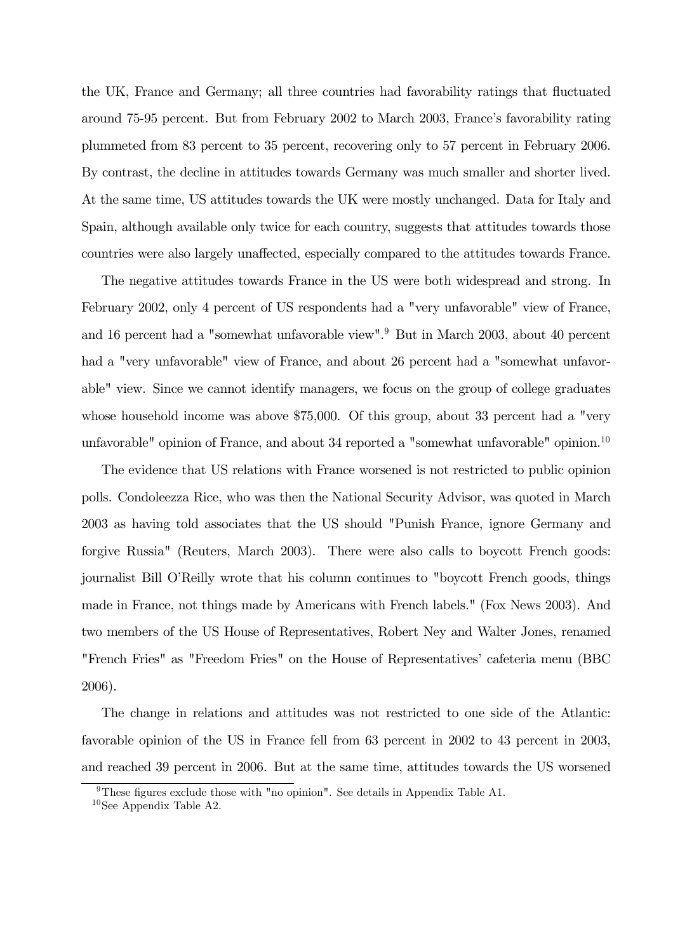the UK, France and Germany; all three countries had favorability ratings that fluctuated around 75-95 percent. But from February 2002 to March 2003, France's favorability rating plummeted from 83 percent to 35 percent, recovering only to 57 percent in February 2006. By contrast, the decline in attitudes towards Germany was much smaller and shorter lived. At the same time, US attitudes towards the UK were mostly unchanged. Data for Italy and Spain, although available only twice for each country, suggests that attitudes towards those countries were also largely unaffected, especially compared to the attitudes towards France.

The negative attitudes towards France in the US were both widespread and strong. In February 2002, only 4 percent of US respondents had a "very unfavorable" view of France, and 16 percent had a "somewhat unfavorable view".9 But in March 2003, about 40 percent had a "very unfavorable" view of France, and about 26 percent had a "somewhat unfavorable" view. Since we cannot identify managers, we focus on the group of college graduates whose household income was above \$75,000. Of this group, about 33 percent had a "very unfavorable" opinion of France, and about 34 reported a "somewhat unfavorable" opinion.<sup>10</sup>

The evidence that US relations with France worsened is not restricted to public opinion polls. Condoleezza Rice, who was then the National Security Advisor, was quoted in March 2003 as having told associates that the US should "Punish France, ignore Germany and forgive Russia" (Reuters, March 2003). There were also calls to boycott French goods: journalist Bill O'Reilly wrote that his column continues to "boycott French goods, things made in France, not things made by Americans with French labels." (Fox News 2003). And two members of the US House of Representatives, Robert Ney and Walter Jones, renamed "French Fries" as "Freedom Fries" on the House of Representatives' cafeteria menu (BBC 2006).

The change in relations and attitudes was not restricted to one side of the Atlantic: favorable opinion of the US in France fell from 63 percent in 2002 to 43 percent in 2003, and reached 39 percent in 2006. But at the same time, attitudes towards the US worsened

<sup>&</sup>lt;sup>9</sup>These figures exclude those with "no opinion". See details in Appendix Table A1.

 $10$ See Appendix Table A2.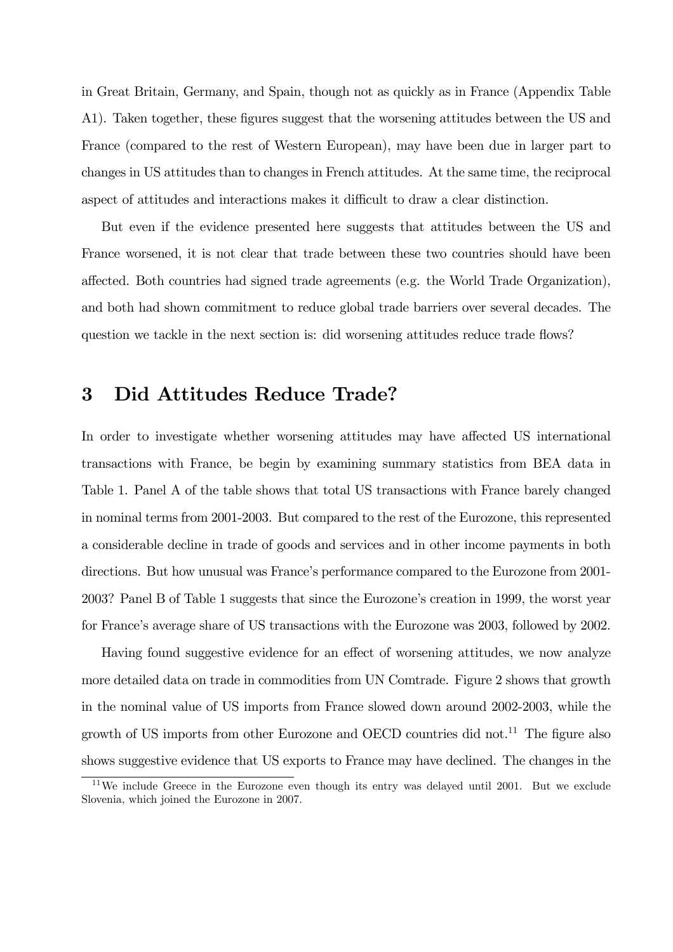in Great Britain, Germany, and Spain, though not as quickly as in France (Appendix Table A1). Taken together, these figures suggest that the worsening attitudes between the US and France (compared to the rest of Western European), may have been due in larger part to changes in US attitudes than to changes in French attitudes. At the same time, the reciprocal aspect of attitudes and interactions makes it difficult to draw a clear distinction.

But even if the evidence presented here suggests that attitudes between the US and France worsened, it is not clear that trade between these two countries should have been affected. Both countries had signed trade agreements (e.g. the World Trade Organization), and both had shown commitment to reduce global trade barriers over several decades. The question we tackle in the next section is: did worsening attitudes reduce trade flows?

### 3 Did Attitudes Reduce Trade?

In order to investigate whether worsening attitudes may have affected US international transactions with France, be begin by examining summary statistics from BEA data in Table 1. Panel A of the table shows that total US transactions with France barely changed in nominal terms from 2001-2003. But compared to the rest of the Eurozone, this represented a considerable decline in trade of goods and services and in other income payments in both directions. But how unusual was France's performance compared to the Eurozone from 2001- 2003? Panel B of Table 1 suggests that since the Eurozone's creation in 1999, the worst year for France's average share of US transactions with the Eurozone was 2003, followed by 2002.

Having found suggestive evidence for an effect of worsening attitudes, we now analyze more detailed data on trade in commodities from UN Comtrade. Figure 2 shows that growth in the nominal value of US imports from France slowed down around 2002-2003, while the growth of US imports from other Eurozone and OECD countries did not.<sup>11</sup> The figure also shows suggestive evidence that US exports to France may have declined. The changes in the

 $11$ We include Greece in the Eurozone even though its entry was delayed until 2001. But we exclude Slovenia, which joined the Eurozone in 2007.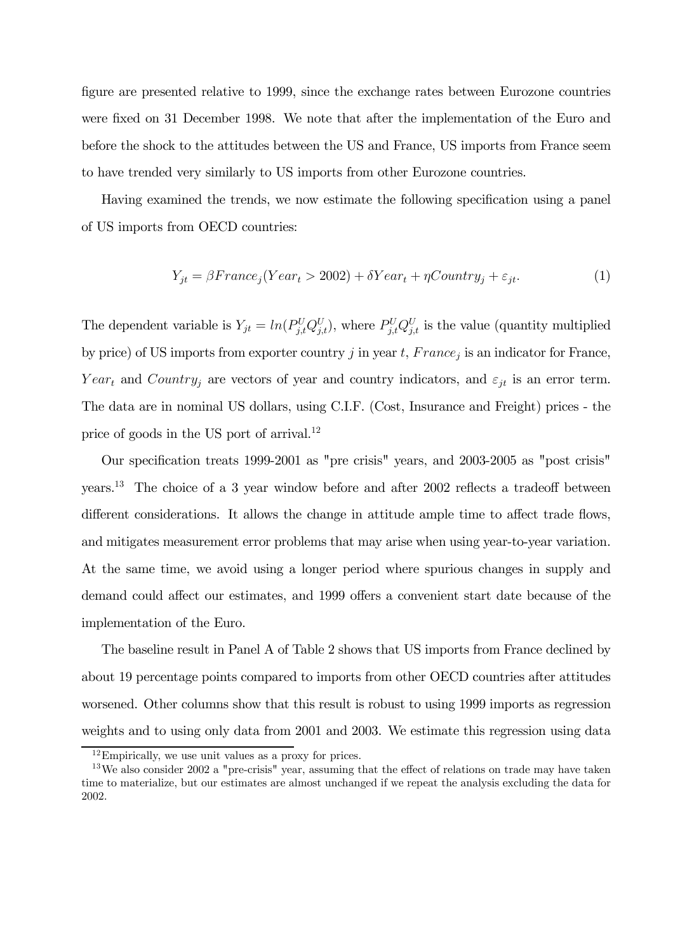figure are presented relative to 1999, since the exchange rates between Eurozone countries were fixed on 31 December 1998. We note that after the implementation of the Euro and before the shock to the attitudes between the US and France, US imports from France seem to have trended very similarly to US imports from other Eurozone countries.

Having examined the trends, we now estimate the following specification using a panel of US imports from OECD countries:

$$
Y_{jt} = \beta France_j(Year_t > 2002) + \delta Year_t + \eta Country_j + \varepsilon_{jt}.
$$
\n(1)

The dependent variable is  $Y_{jt} = ln(P_{j,t}^U Q_{j,t}^U)$ , where  $P_{j,t}^U Q_{j,t}^U$  is the value (quantity multiplied by price) of US imports from exporter country j in year t,  $France_j$  is an indicator for France, Year<sub>t</sub> and Country<sub>j</sub> are vectors of year and country indicators, and  $\varepsilon_{jt}$  is an error term. The data are in nominal US dollars, using C.I.F. (Cost, Insurance and Freight) prices - the price of goods in the US port of arrival.<sup>12</sup>

Our specification treats 1999-2001 as "pre crisis" years, and 2003-2005 as "post crisis" years.13 The choice of a 3 year window before and after 2002 reflects a tradeoff between different considerations. It allows the change in attitude ample time to affect trade flows, and mitigates measurement error problems that may arise when using year-to-year variation. At the same time, we avoid using a longer period where spurious changes in supply and demand could affect our estimates, and 1999 offers a convenient start date because of the implementation of the Euro.

The baseline result in Panel A of Table 2 shows that US imports from France declined by about 19 percentage points compared to imports from other OECD countries after attitudes worsened. Other columns show that this result is robust to using 1999 imports as regression weights and to using only data from 2001 and 2003. We estimate this regression using data

 $12$ Empirically, we use unit values as a proxy for prices.

<sup>&</sup>lt;sup>13</sup>We also consider 2002 a "pre-crisis" year, assuming that the effect of relations on trade may have taken time to materialize, but our estimates are almost unchanged if we repeat the analysis excluding the data for 2002.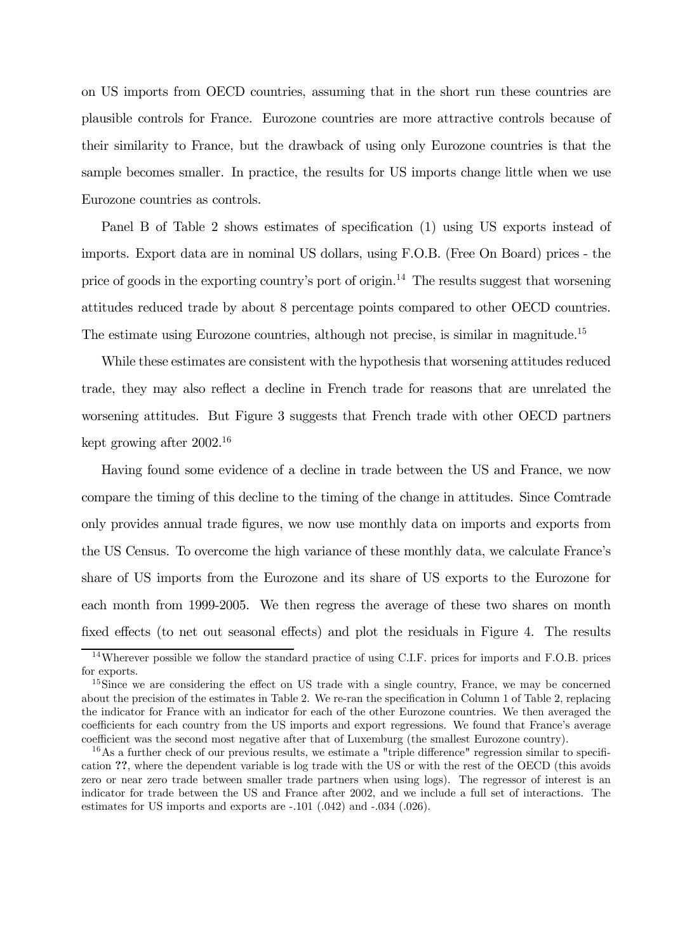on US imports from OECD countries, assuming that in the short run these countries are plausible controls for France. Eurozone countries are more attractive controls because of their similarity to France, but the drawback of using only Eurozone countries is that the sample becomes smaller. In practice, the results for US imports change little when we use Eurozone countries as controls.

Panel B of Table 2 shows estimates of specification (1) using US exports instead of imports. Export data are in nominal US dollars, using F.O.B. (Free On Board) prices - the price of goods in the exporting country's port of origin.<sup>14</sup> The results suggest that worsening attitudes reduced trade by about 8 percentage points compared to other OECD countries. The estimate using Eurozone countries, although not precise, is similar in magnitude.<sup>15</sup>

While these estimates are consistent with the hypothesis that worsening attitudes reduced trade, they may also reflect a decline in French trade for reasons that are unrelated the worsening attitudes. But Figure 3 suggests that French trade with other OECD partners kept growing after 2002.16

Having found some evidence of a decline in trade between the US and France, we now compare the timing of this decline to the timing of the change in attitudes. Since Comtrade only provides annual trade figures, we now use monthly data on imports and exports from the US Census. To overcome the high variance of these monthly data, we calculate France's share of US imports from the Eurozone and its share of US exports to the Eurozone for each month from 1999-2005. We then regress the average of these two shares on month fixed effects (to net out seasonal effects) and plot the residuals in Figure 4. The results

<sup>&</sup>lt;sup>14</sup>Wherever possible we follow the standard practice of using C.I.F. prices for imports and F.O.B. prices for exports.

<sup>&</sup>lt;sup>15</sup>Since we are considering the effect on US trade with a single country, France, we may be concerned about the precision of the estimates in Table 2. We re-ran the specification in Column 1 of Table 2, replacing the indicator for France with an indicator for each of the other Eurozone countries. We then averaged the coefficients for each country from the US imports and export regressions. We found that France's average coefficient was the second most negative after that of Luxemburg (the smallest Eurozone country).

<sup>&</sup>lt;sup>16</sup>As a further check of our previous results, we estimate a "triple difference" regression similar to specification ??, where the dependent variable is log trade with the US or with the rest of the OECD (this avoids zero or near zero trade between smaller trade partners when using logs). The regressor of interest is an indicator for trade between the US and France after 2002, and we include a full set of interactions. The estimates for US imports and exports are -.101 (.042) and -.034 (.026).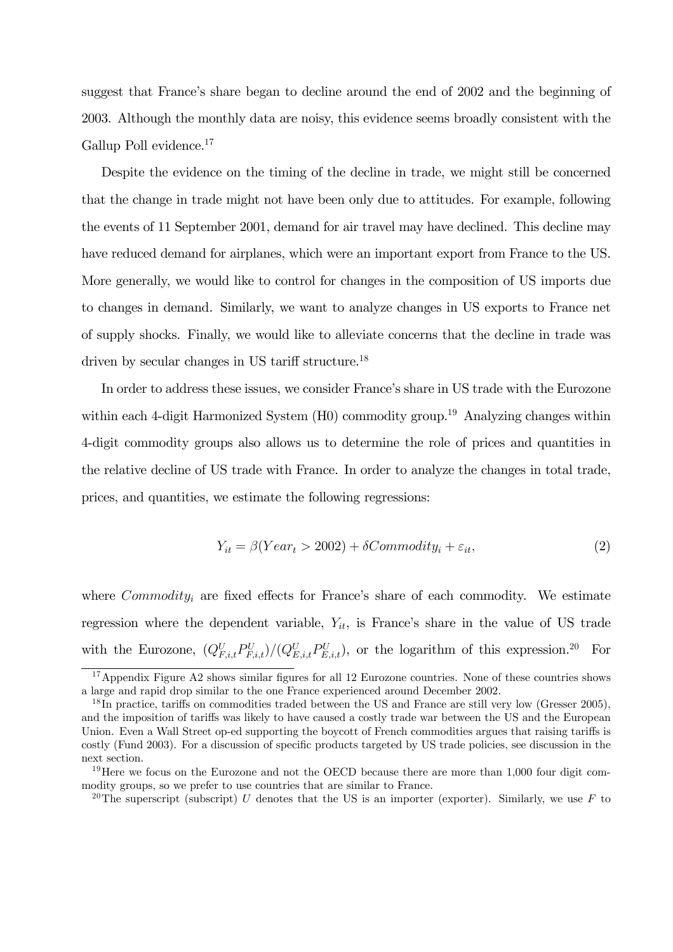suggest that France's share began to decline around the end of 2002 and the beginning of 2003. Although the monthly data are noisy, this evidence seems broadly consistent with the Gallup Poll evidence.17

Despite the evidence on the timing of the decline in trade, we might still be concerned that the change in trade might not have been only due to attitudes. For example, following the events of 11 September 2001, demand for air travel may have declined. This decline may have reduced demand for airplanes, which were an important export from France to the US. More generally, we would like to control for changes in the composition of US imports due to changes in demand. Similarly, we want to analyze changes in US exports to France net of supply shocks. Finally, we would like to alleviate concerns that the decline in trade was driven by secular changes in US tariff structure.<sup>18</sup>

In order to address these issues, we consider France's share in US trade with the Eurozone within each 4-digit Harmonized System  $(H0)$  commodity group.<sup>19</sup> Analyzing changes within 4-digit commodity groups also allows us to determine the role of prices and quantities in the relative decline of US trade with France. In order to analyze the changes in total trade, prices, and quantities, we estimate the following regressions:

$$
Y_{it} = \beta(Year_t > 2002) + \delta Commodity_i + \varepsilon_{it},\tag{2}
$$

where  $Commodity_i$  are fixed effects for France's share of each commodity. We estimate regression where the dependent variable,  $Y_{it}$ , is France's share in the value of US trade with the Eurozone,  $(Q_{F,i,t}^U P_{F,i,t}^U)/(Q_{E,i,t}^U P_{E,i,t}^U)$ , or the logarithm of this expression.<sup>20</sup> For

<sup>&</sup>lt;sup>17</sup>Appendix Figure A2 shows similar figures for all 12 Eurozone countries. None of these countries shows a large and rapid drop similar to the one France experienced around December 2002.

<sup>&</sup>lt;sup>18</sup>In practice, tariffs on commodities traded between the US and France are still very low (Gresser 2005). and the imposition of tariffs was likely to have caused a costly trade war between the US and the European Union. Even a Wall Street op-ed supporting the boycott of French commodities argues that raising tariffs is costly (Fund 2003). For a discussion of specific products targeted by US trade policies, see discussion in the next section.

<sup>&</sup>lt;sup>19</sup>Here we focus on the Eurozone and not the OECD because there are more than 1,000 four digit commodity groups, so we prefer to use countries that are similar to France.

<sup>&</sup>lt;sup>20</sup>The superscript (subscript) U denotes that the US is an importer (exporter). Similarly, we use F to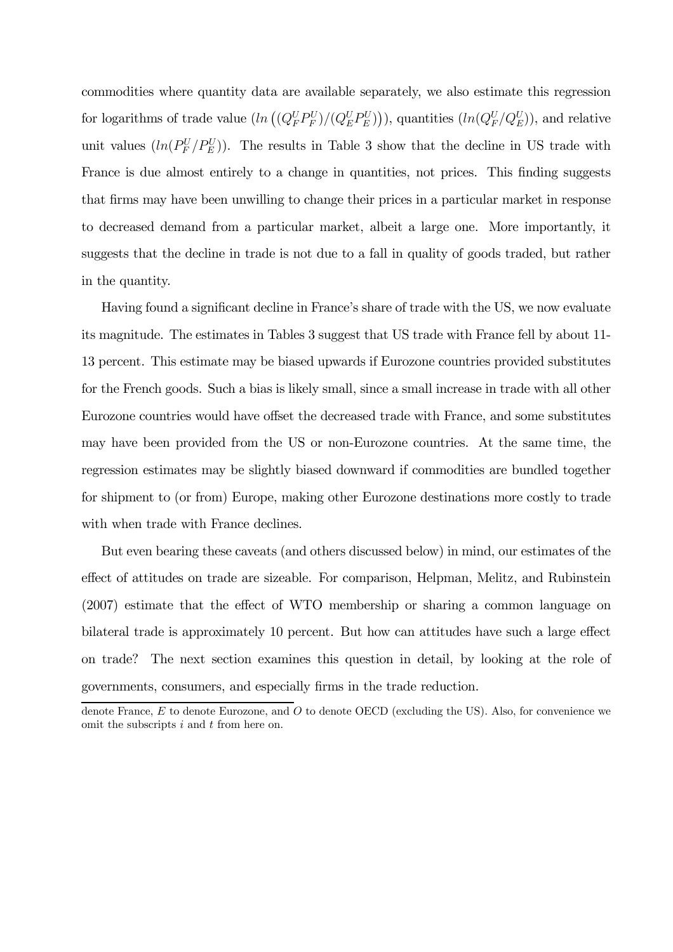commodities where quantity data are available separately, we also estimate this regression for logarithms of trade value  $(ln((Q_F^U P_F^U)/(Q_E^U P_E^U)))$ , quantities  $(ln(Q_F^U/Q_E^U))$ , and relative unit values  $(ln(P_F^U/P_E^U))$ . The results in Table 3 show that the decline in US trade with France is due almost entirely to a change in quantities, not prices. This finding suggests that firms may have been unwilling to change their prices in a particular market in response to decreased demand from a particular market, albeit a large one. More importantly, it suggests that the decline in trade is not due to a fall in quality of goods traded, but rather in the quantity.

Having found a significant decline in France's share of trade with the US, we now evaluate its magnitude. The estimates in Tables 3 suggest that US trade with France fell by about 11- 13 percent. This estimate may be biased upwards if Eurozone countries provided substitutes for the French goods. Such a bias is likely small, since a small increase in trade with all other Eurozone countries would have offset the decreased trade with France, and some substitutes may have been provided from the US or non-Eurozone countries. At the same time, the regression estimates may be slightly biased downward if commodities are bundled together for shipment to (or from) Europe, making other Eurozone destinations more costly to trade with when trade with France declines.

But even bearing these caveats (and others discussed below) in mind, our estimates of the effect of attitudes on trade are sizeable. For comparison, Helpman, Melitz, and Rubinstein (2007) estimate that the effect of WTO membership or sharing a common language on bilateral trade is approximately 10 percent. But how can attitudes have such a large effect on trade? The next section examines this question in detail, by looking at the role of governments, consumers, and especially firms in the trade reduction.

denote France, E to denote Eurozone, and O to denote OECD (excluding the US). Also, for convenience we omit the subscripts  $i$  and  $t$  from here on.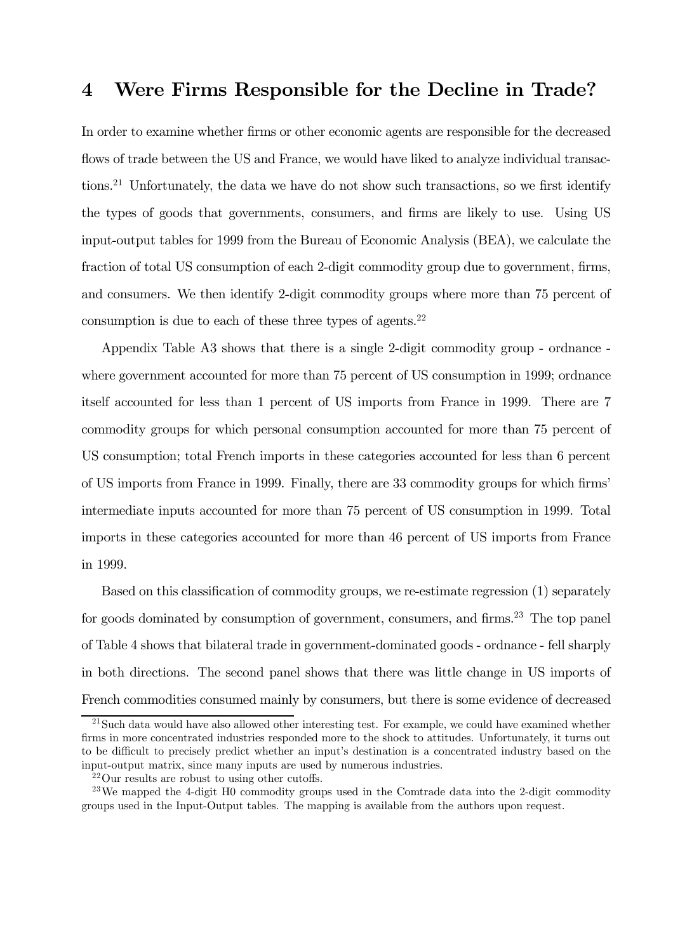#### 4 Were Firms Responsible for the Decline in Trade?

In order to examine whether firms or other economic agents are responsible for the decreased flows of trade between the US and France, we would have liked to analyze individual transactions.21 Unfortunately, the data we have do not show such transactions, so we first identify the types of goods that governments, consumers, and firms are likely to use. Using US input-output tables for 1999 from the Bureau of Economic Analysis (BEA), we calculate the fraction of total US consumption of each 2-digit commodity group due to government, firms, and consumers. We then identify 2-digit commodity groups where more than 75 percent of consumption is due to each of these three types of agents. $22$ 

Appendix Table A3 shows that there is a single 2-digit commodity group - ordnance where government accounted for more than 75 percent of US consumption in 1999; ordnance itself accounted for less than 1 percent of US imports from France in 1999. There are 7 commodity groups for which personal consumption accounted for more than 75 percent of US consumption; total French imports in these categories accounted for less than 6 percent of US imports from France in 1999. Finally, there are 33 commodity groups for which firms' intermediate inputs accounted for more than 75 percent of US consumption in 1999. Total imports in these categories accounted for more than 46 percent of US imports from France in 1999.

Based on this classification of commodity groups, we re-estimate regression (1) separately for goods dominated by consumption of government, consumers, and firms.<sup>23</sup> The top panel of Table 4 shows that bilateral trade in government-dominated goods - ordnance - fell sharply in both directions. The second panel shows that there was little change in US imports of French commodities consumed mainly by consumers, but there is some evidence of decreased

 $21$ Such data would have also allowed other interesting test. For example, we could have examined whether firms in more concentrated industries responded more to the shock to attitudes. Unfortunately, it turns out to be difficult to precisely predict whether an input's destination is a concentrated industry based on the input-output matrix, since many inputs are used by numerous industries.

<sup>22</sup>Our results are robust to using other cutoffs.

 $^{23}$ We mapped the 4-digit H0 commodity groups used in the Comtrade data into the 2-digit commodity groups used in the Input-Output tables. The mapping is available from the authors upon request.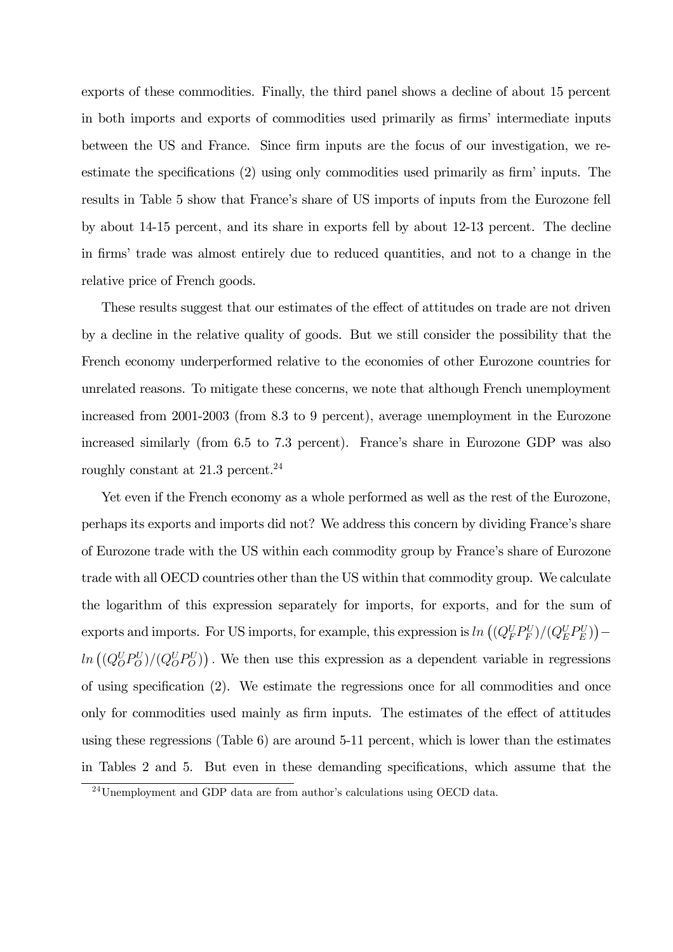exports of these commodities. Finally, the third panel shows a decline of about 15 percent in both imports and exports of commodities used primarily as firms' intermediate inputs between the US and France. Since firm inputs are the focus of our investigation, we reestimate the specifications (2) using only commodities used primarily as firm' inputs. The results in Table 5 show that France's share of US imports of inputs from the Eurozone fell by about 14-15 percent, and its share in exports fell by about 12-13 percent. The decline in firms' trade was almost entirely due to reduced quantities, and not to a change in the relative price of French goods.

These results suggest that our estimates of the effect of attitudes on trade are not driven by a decline in the relative quality of goods. But we still consider the possibility that the French economy underperformed relative to the economies of other Eurozone countries for unrelated reasons. To mitigate these concerns, we note that although French unemployment increased from 2001-2003 (from 8.3 to 9 percent), average unemployment in the Eurozone increased similarly (from 6.5 to 7.3 percent). France's share in Eurozone GDP was also roughly constant at 21.3 percent.<sup>24</sup>

Yet even if the French economy as a whole performed as well as the rest of the Eurozone, perhaps its exports and imports did not? We address this concern by dividing France's share of Eurozone trade with the US within each commodity group by France's share of Eurozone trade with all OECD countries other than the US within that commodity group. We calculate the logarithm of this expression separately for imports, for exports, and for the sum of exports and imports. For US imports, for example, this expression is  $\ln \left( (Q_F^U P_F^U)/(Q_E^U P_E^U) \right)$  –  $ln((Q_0^U P_0^U)/(Q_0^U P_0^U))$ . We then use this expression as a dependent variable in regressions of using specification (2). We estimate the regressions once for all commodities and once only for commodities used mainly as firm inputs. The estimates of the effect of attitudes using these regressions (Table 6) are around 5-11 percent, which is lower than the estimates in Tables 2 and 5. But even in these demanding specifications, which assume that the

 $24$ Unemployment and GDP data are from author's calculations using OECD data.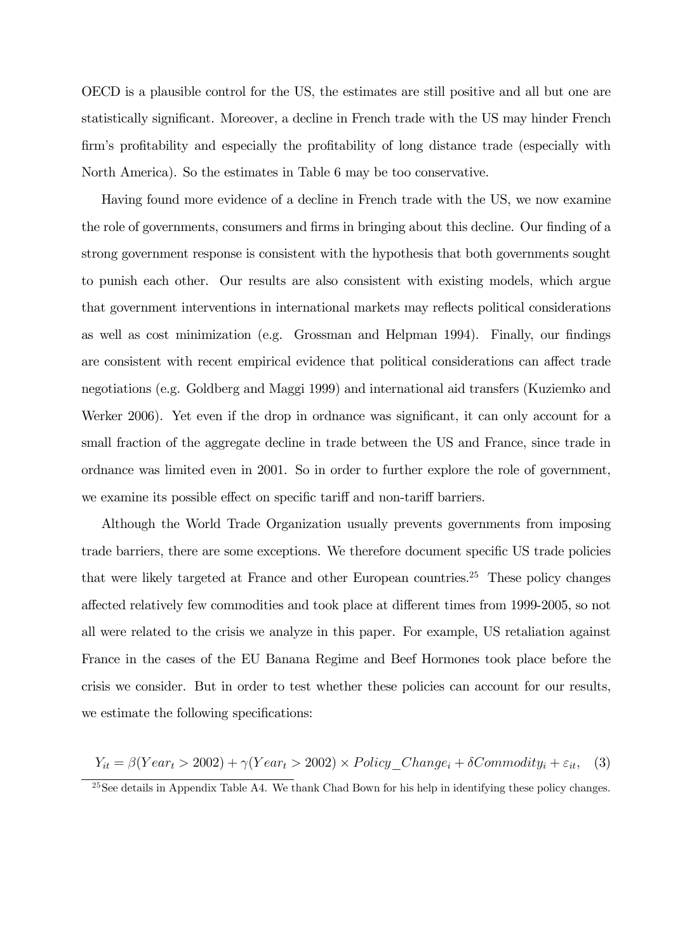OECD is a plausible control for the US, the estimates are still positive and all but one are statistically significant. Moreover, a decline in French trade with the US may hinder French firm's profitability and especially the profitability of long distance trade (especially with North America). So the estimates in Table 6 may be too conservative.

Having found more evidence of a decline in French trade with the US, we now examine the role of governments, consumers and firms in bringing about this decline. Our finding of a strong government response is consistent with the hypothesis that both governments sought to punish each other. Our results are also consistent with existing models, which argue that government interventions in international markets may reflects political considerations as well as cost minimization (e.g. Grossman and Helpman 1994). Finally, our findings are consistent with recent empirical evidence that political considerations can affect trade negotiations (e.g. Goldberg and Maggi 1999) and international aid transfers (Kuziemko and Werker 2006). Yet even if the drop in ordnance was significant, it can only account for a small fraction of the aggregate decline in trade between the US and France, since trade in ordnance was limited even in 2001. So in order to further explore the role of government, we examine its possible effect on specific tariff and non-tariff barriers.

Although the World Trade Organization usually prevents governments from imposing trade barriers, there are some exceptions. We therefore document specific US trade policies that were likely targeted at France and other European countries.<sup>25</sup> These policy changes affected relatively few commodities and took place at different times from 1999-2005, so not all were related to the crisis we analyze in this paper. For example, US retaliation against France in the cases of the EU Banana Regime and Beef Hormones took place before the crisis we consider. But in order to test whether these policies can account for our results, we estimate the following specifications:

$$
Y_{it} = \beta(Year_t > 2002) + \gamma(Year_t > 2002) \times Policy\_Change_i + \delta{Commodity_i} + \varepsilon_{it}, \quad (3)
$$

 $^{25}$ See details in Appendix Table A4. We thank Chad Bown for his help in identifying these policy changes.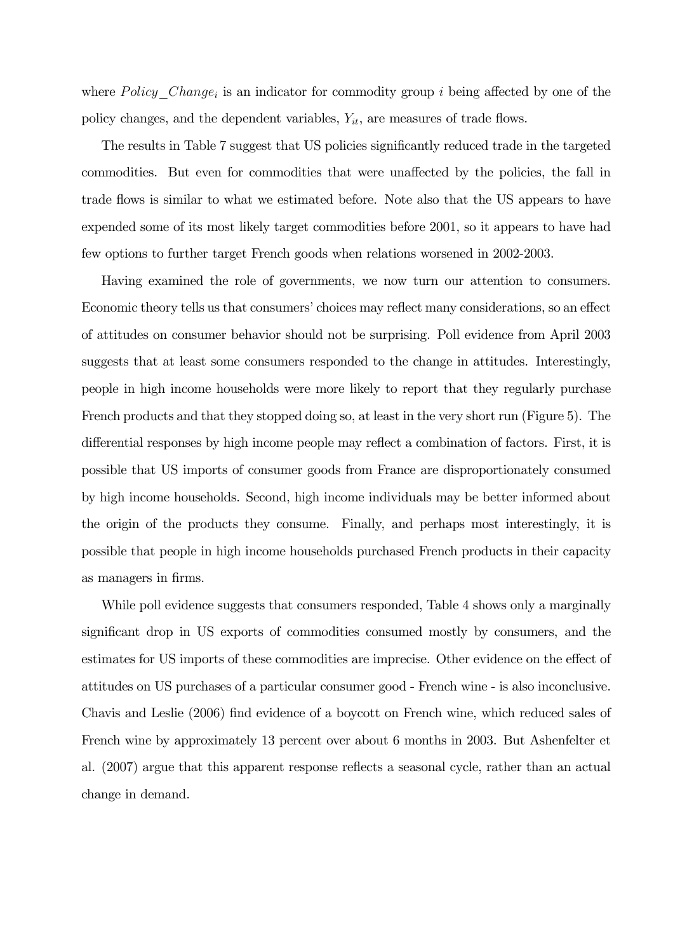where Policy Change<sub>i</sub> is an indicator for commodity group i being affected by one of the policy changes, and the dependent variables,  $Y_{it}$ , are measures of trade flows.

The results in Table 7 suggest that US policies significantly reduced trade in the targeted commodities. But even for commodities that were unaffected by the policies, the fall in trade flows is similar to what we estimated before. Note also that the US appears to have expended some of its most likely target commodities before 2001, so it appears to have had few options to further target French goods when relations worsened in 2002-2003.

Having examined the role of governments, we now turn our attention to consumers. Economic theory tells us that consumers' choices may reflect many considerations, so an effect of attitudes on consumer behavior should not be surprising. Poll evidence from April 2003 suggests that at least some consumers responded to the change in attitudes. Interestingly, people in high income households were more likely to report that they regularly purchase French products and that they stopped doing so, at least in the very short run (Figure 5). The differential responses by high income people may reflect a combination of factors. First, it is possible that US imports of consumer goods from France are disproportionately consumed by high income households. Second, high income individuals may be better informed about the origin of the products they consume. Finally, and perhaps most interestingly, it is possible that people in high income households purchased French products in their capacity as managers in firms.

While poll evidence suggests that consumers responded, Table 4 shows only a marginally significant drop in US exports of commodities consumed mostly by consumers, and the estimates for US imports of these commodities are imprecise. Other evidence on the effect of attitudes on US purchases of a particular consumer good - French wine - is also inconclusive. Chavis and Leslie (2006) find evidence of a boycott on French wine, which reduced sales of French wine by approximately 13 percent over about 6 months in 2003. But Ashenfelter et al. (2007) argue that this apparent response reflects a seasonal cycle, rather than an actual change in demand.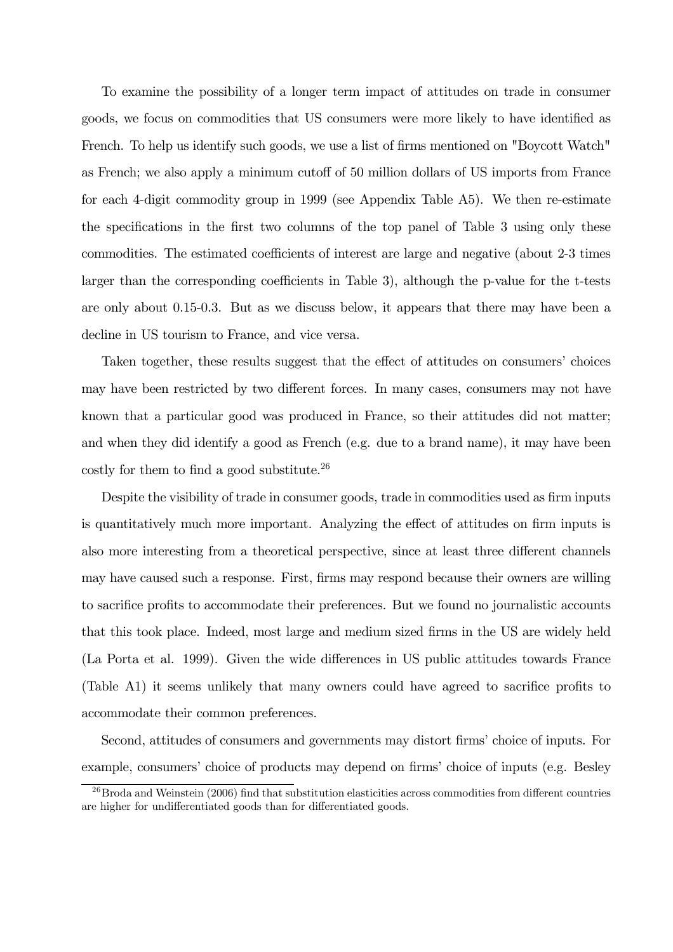To examine the possibility of a longer term impact of attitudes on trade in consumer goods, we focus on commodities that US consumers were more likely to have identified as French. To help us identify such goods, we use a list of firms mentioned on "Boycott Watch" as French; we also apply a minimum cutoff of 50 million dollars of US imports from France for each 4-digit commodity group in 1999 (see Appendix Table A5). We then re-estimate the specifications in the first two columns of the top panel of Table 3 using only these commodities. The estimated coefficients of interest are large and negative (about 2-3 times larger than the corresponding coefficients in Table 3), although the p-value for the t-tests are only about 0.15-0.3. But as we discuss below, it appears that there may have been a decline in US tourism to France, and vice versa.

Taken together, these results suggest that the effect of attitudes on consumers' choices may have been restricted by two different forces. In many cases, consumers may not have known that a particular good was produced in France, so their attitudes did not matter; and when they did identify a good as French (e.g. due to a brand name), it may have been costly for them to find a good substitute.26

Despite the visibility of trade in consumer goods, trade in commodities used as firm inputs is quantitatively much more important. Analyzing the effect of attitudes on firm inputs is also more interesting from a theoretical perspective, since at least three different channels may have caused such a response. First, firms may respond because their owners are willing to sacrifice profits to accommodate their preferences. But we found no journalistic accounts that this took place. Indeed, most large and medium sized firms in the US are widely held (La Porta et al. 1999). Given the wide differences in US public attitudes towards France (Table A1) it seems unlikely that many owners could have agreed to sacrifice profits to accommodate their common preferences.

Second, attitudes of consumers and governments may distort firms' choice of inputs. For example, consumers' choice of products may depend on firms' choice of inputs (e.g. Besley

 $^{26}$ Broda and Weinstein (2006) find that substitution elasticities across commodities from different countries are higher for undifferentiated goods than for differentiated goods.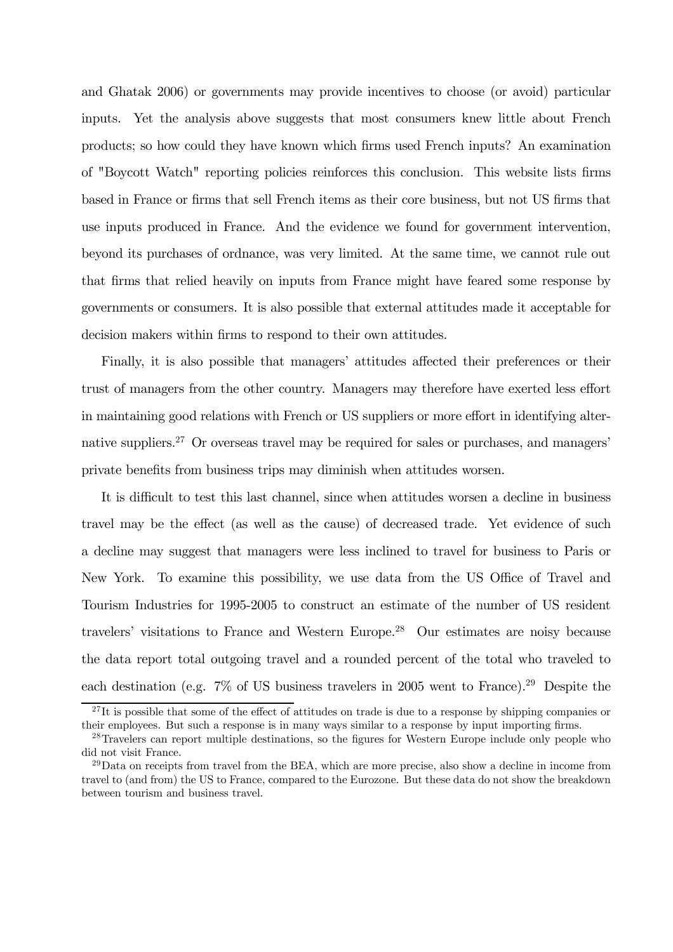and Ghatak 2006) or governments may provide incentives to choose (or avoid) particular inputs. Yet the analysis above suggests that most consumers knew little about French products; so how could they have known which firms used French inputs? An examination of "Boycott Watch" reporting policies reinforces this conclusion. This website lists firms based in France or firms that sell French items as their core business, but not US firms that use inputs produced in France. And the evidence we found for government intervention, beyond its purchases of ordnance, was very limited. At the same time, we cannot rule out that firms that relied heavily on inputs from France might have feared some response by governments or consumers. It is also possible that external attitudes made it acceptable for decision makers within firms to respond to their own attitudes.

Finally, it is also possible that managers' attitudes affected their preferences or their trust of managers from the other country. Managers may therefore have exerted less effort in maintaining good relations with French or US suppliers or more effort in identifying alternative suppliers.<sup>27</sup> Or overseas travel may be required for sales or purchases, and managers' private benefits from business trips may diminish when attitudes worsen.

It is difficult to test this last channel, since when attitudes worsen a decline in business travel may be the effect (as well as the cause) of decreased trade. Yet evidence of such a decline may suggest that managers were less inclined to travel for business to Paris or New York. To examine this possibility, we use data from the US Office of Travel and Tourism Industries for 1995-2005 to construct an estimate of the number of US resident travelers' visitations to France and Western Europe.28 Our estimates are noisy because the data report total outgoing travel and a rounded percent of the total who traveled to each destination (e.g. 7% of US business travelers in 2005 went to France).<sup>29</sup> Despite the

 $^{27}$ It is possible that some of the effect of attitudes on trade is due to a response by shipping companies or their employees. But such a response is in many ways similar to a response by input importing firms.

<sup>&</sup>lt;sup>28</sup>Travelers can report multiple destinations, so the figures for Western Europe include only people who did not visit France.

 $^{29}$ Data on receipts from travel from the BEA, which are more precise, also show a decline in income from travel to (and from) the US to France, compared to the Eurozone. But these data do not show the breakdown between tourism and business travel.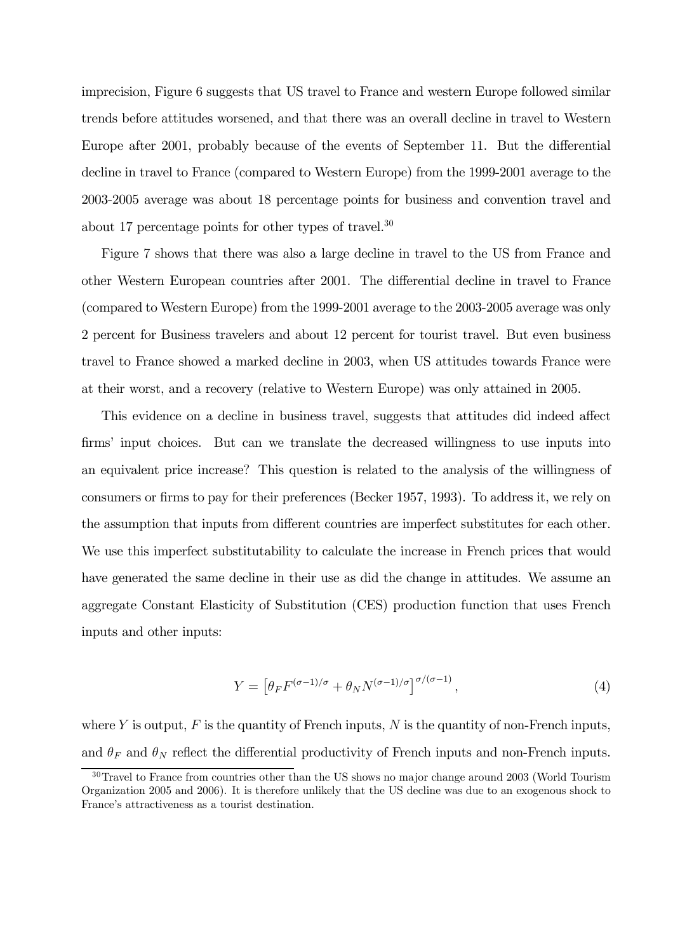imprecision, Figure 6 suggests that US travel to France and western Europe followed similar trends before attitudes worsened, and that there was an overall decline in travel to Western Europe after 2001, probably because of the events of September 11. But the differential decline in travel to France (compared to Western Europe) from the 1999-2001 average to the 2003-2005 average was about 18 percentage points for business and convention travel and about 17 percentage points for other types of travel.30

Figure 7 shows that there was also a large decline in travel to the US from France and other Western European countries after 2001. The differential decline in travel to France (compared to Western Europe) from the 1999-2001 average to the 2003-2005 average was only 2 percent for Business travelers and about 12 percent for tourist travel. But even business travel to France showed a marked decline in 2003, when US attitudes towards France were at their worst, and a recovery (relative to Western Europe) was only attained in 2005.

This evidence on a decline in business travel, suggests that attitudes did indeed affect firms' input choices. But can we translate the decreased willingness to use inputs into an equivalent price increase? This question is related to the analysis of the willingness of consumers or firms to pay for their preferences (Becker 1957, 1993). To address it, we rely on the assumption that inputs from different countries are imperfect substitutes for each other. We use this imperfect substitutability to calculate the increase in French prices that would have generated the same decline in their use as did the change in attitudes. We assume an aggregate Constant Elasticity of Substitution (CES) production function that uses French inputs and other inputs:

$$
Y = \left[\theta_F F^{(\sigma - 1)/\sigma} + \theta_N N^{(\sigma - 1)/\sigma}\right]^{\sigma/(\sigma - 1)},\tag{4}
$$

where Y is output,  $F$  is the quantity of French inputs,  $N$  is the quantity of non-French inputs, and  $\theta_F$  and  $\theta_N$  reflect the differential productivity of French inputs and non-French inputs.

 $30$ Travel to France from countries other than the US shows no major change around 2003 (World Tourism Organization 2005 and 2006). It is therefore unlikely that the US decline was due to an exogenous shock to France's attractiveness as a tourist destination.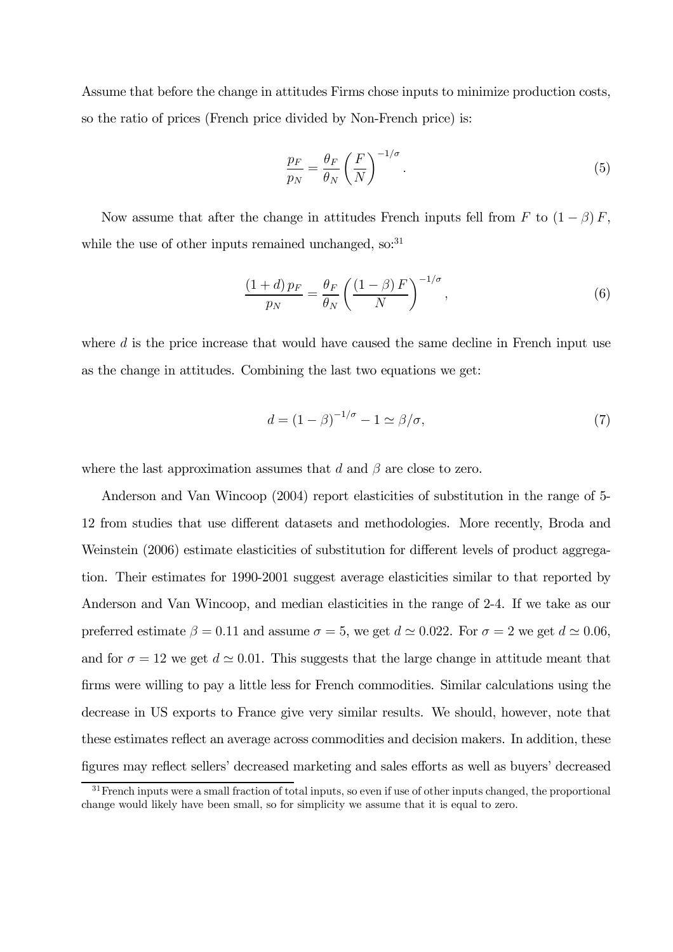Assume that before the change in attitudes Firms chose inputs to minimize production costs, so the ratio of prices (French price divided by Non-French price) is:

$$
\frac{p_F}{p_N} = \frac{\theta_F}{\theta_N} \left(\frac{F}{N}\right)^{-1/\sigma}.
$$
\n(5)

Now assume that after the change in attitudes French inputs fell from F to  $(1 - \beta) F$ , while the use of other inputs remained unchanged, so: $31$ 

$$
\frac{(1+d)\,p_F}{p_N} = \frac{\theta_F}{\theta_N} \left(\frac{(1-\beta)\,F}{N}\right)^{-1/\sigma},\tag{6}
$$

where d is the price increase that would have caused the same decline in French input use as the change in attitudes. Combining the last two equations we get:

$$
d = (1 - \beta)^{-1/\sigma} - 1 \simeq \beta/\sigma,\tag{7}
$$

where the last approximation assumes that d and  $\beta$  are close to zero.

Anderson and Van Wincoop (2004) report elasticities of substitution in the range of 5- 12 from studies that use different datasets and methodologies. More recently, Broda and Weinstein (2006) estimate elasticities of substitution for different levels of product aggregation. Their estimates for 1990-2001 suggest average elasticities similar to that reported by Anderson and Van Wincoop, and median elasticities in the range of 2-4. If we take as our preferred estimate  $\beta = 0.11$  and assume  $\sigma = 5$ , we get  $d \simeq 0.022$ . For  $\sigma = 2$  we get  $d \simeq 0.06$ , and for  $\sigma = 12$  we get  $d \simeq 0.01$ . This suggests that the large change in attitude meant that firms were willing to pay a little less for French commodities. Similar calculations using the decrease in US exports to France give very similar results. We should, however, note that these estimates reflect an average across commodities and decision makers. In addition, these figures may reflect sellers' decreased marketing and sales efforts as well as buyers' decreased

 $31$  French inputs were a small fraction of total inputs, so even if use of other inputs changed, the proportional change would likely have been small, so for simplicity we assume that it is equal to zero.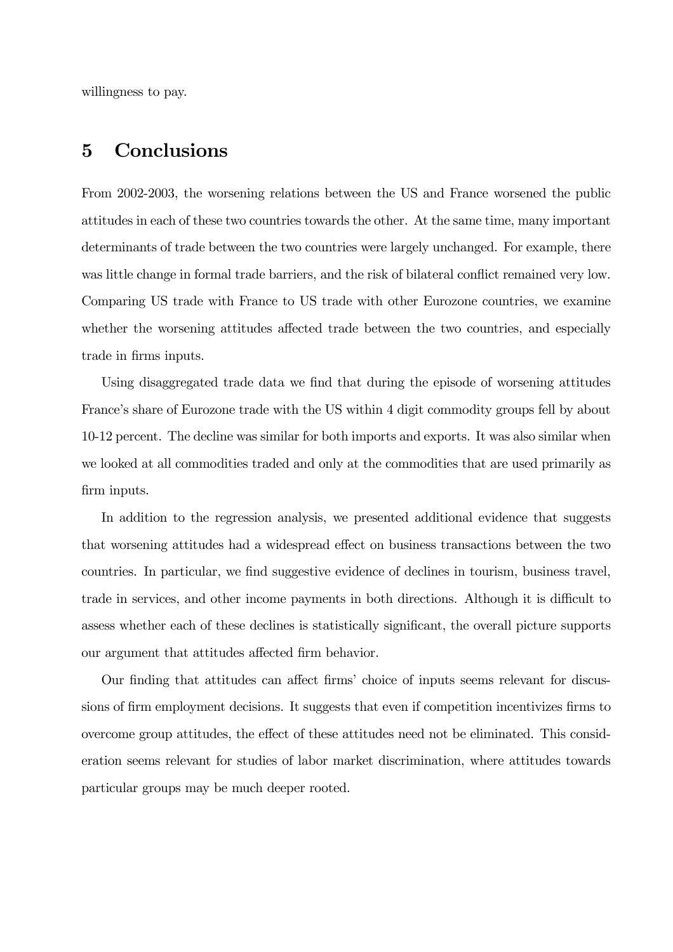willingness to pay.

### 5 Conclusions

From 2002-2003, the worsening relations between the US and France worsened the public attitudes in each of these two countries towards the other. At the same time, many important determinants of trade between the two countries were largely unchanged. For example, there was little change in formal trade barriers, and the risk of bilateral conflict remained very low. Comparing US trade with France to US trade with other Eurozone countries, we examine whether the worsening attitudes affected trade between the two countries, and especially trade in firms inputs.

Using disaggregated trade data we find that during the episode of worsening attitudes France's share of Eurozone trade with the US within 4 digit commodity groups fell by about 10-12 percent. The decline was similar for both imports and exports. It was also similar when we looked at all commodities traded and only at the commodities that are used primarily as firm inputs.

In addition to the regression analysis, we presented additional evidence that suggests that worsening attitudes had a widespread effect on business transactions between the two countries. In particular, we find suggestive evidence of declines in tourism, business travel, trade in services, and other income payments in both directions. Although it is difficult to assess whether each of these declines is statistically significant, the overall picture supports our argument that attitudes affected firm behavior.

Our finding that attitudes can affect firms' choice of inputs seems relevant for discussions of firm employment decisions. It suggests that even if competition incentivizes firms to overcome group attitudes, the effect of these attitudes need not be eliminated. This consideration seems relevant for studies of labor market discrimination, where attitudes towards particular groups may be much deeper rooted.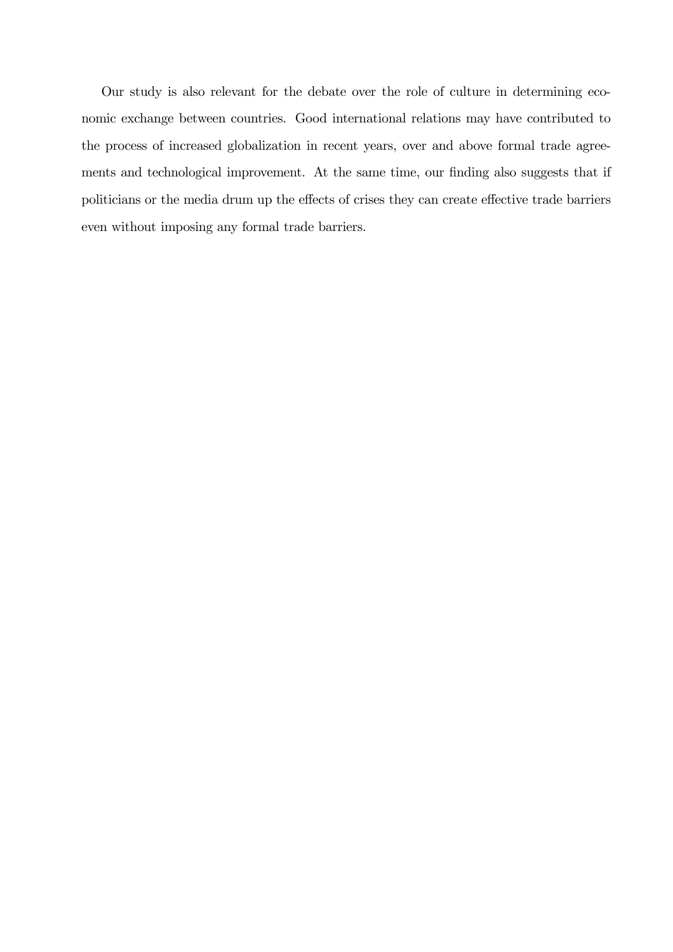Our study is also relevant for the debate over the role of culture in determining economic exchange between countries. Good international relations may have contributed to the process of increased globalization in recent years, over and above formal trade agreements and technological improvement. At the same time, our finding also suggests that if politicians or the media drum up the effects of crises they can create effective trade barriers even without imposing any formal trade barriers.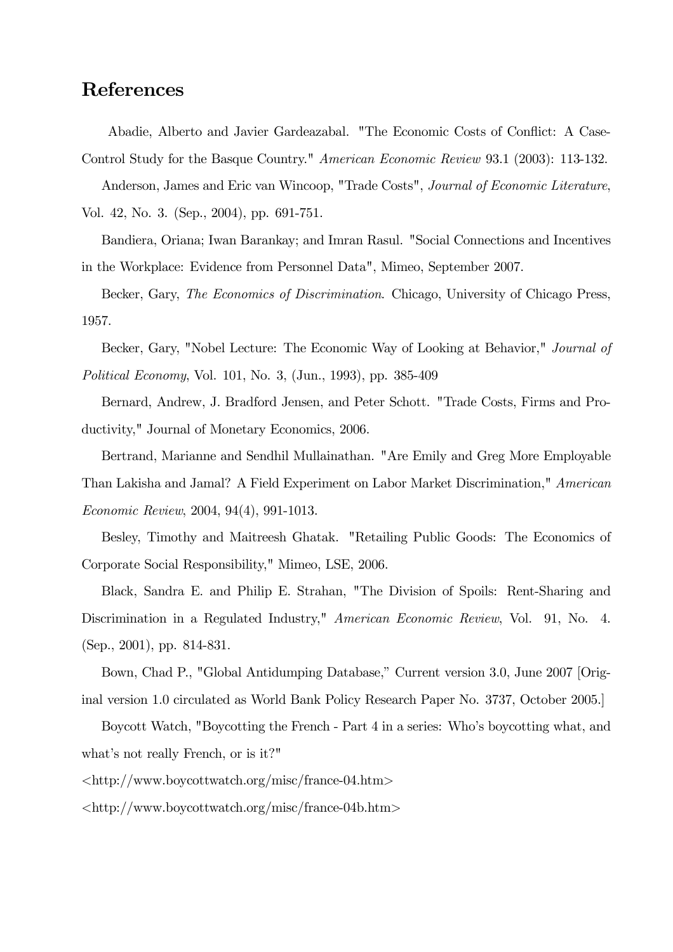### References

Abadie, Alberto and Javier Gardeazabal. "The Economic Costs of Conflict: A Case-

Control Study for the Basque Country." American Economic Review 93.1 (2003): 113-132.

Anderson, James and Eric van Wincoop, "Trade Costs", Journal of Economic Literature, Vol. 42, No. 3. (Sep., 2004), pp. 691-751.

Bandiera, Oriana; Iwan Barankay; and Imran Rasul. "Social Connections and Incentives in the Workplace: Evidence from Personnel Data", Mimeo, September 2007.

Becker, Gary, The Economics of Discrimination. Chicago, University of Chicago Press, 1957.

Becker, Gary, "Nobel Lecture: The Economic Way of Looking at Behavior," Journal of Political Economy, Vol. 101, No. 3, (Jun., 1993), pp. 385-409

Bernard, Andrew, J. Bradford Jensen, and Peter Schott. "Trade Costs, Firms and Productivity," Journal of Monetary Economics, 2006.

Bertrand, Marianne and Sendhil Mullainathan. "Are Emily and Greg More Employable Than Lakisha and Jamal? A Field Experiment on Labor Market Discrimination," American Economic Review, 2004, 94(4), 991-1013.

Besley, Timothy and Maitreesh Ghatak. "Retailing Public Goods: The Economics of Corporate Social Responsibility," Mimeo, LSE, 2006.

Black, Sandra E. and Philip E. Strahan, "The Division of Spoils: Rent-Sharing and Discrimination in a Regulated Industry," American Economic Review, Vol. 91, No. 4. (Sep., 2001), pp. 814-831.

Bown, Chad P., "Global Antidumping Database," Current version 3.0, June 2007 [Original version 1.0 circulated as World Bank Policy Research Paper No. 3737, October 2005.]

Boycott Watch, "Boycotting the French - Part 4 in a series: Who's boycotting what, and what's not really French, or is it?"

<http://www.boycottwatch.org/misc/france-04.htm>

<http://www.boycottwatch.org/misc/france-04b.htm>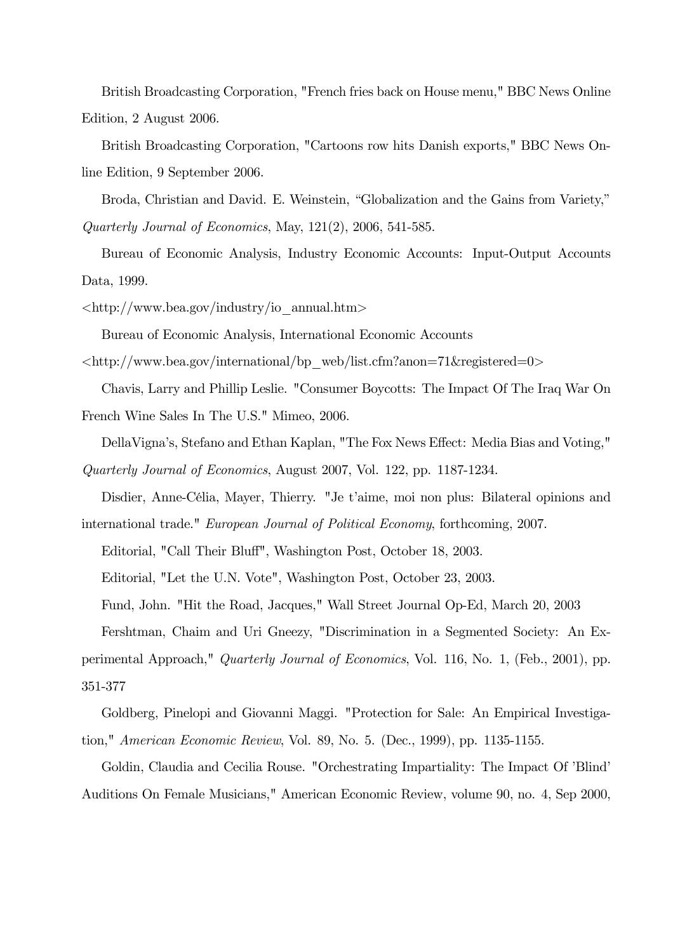British Broadcasting Corporation, "French fries back on House menu," BBC News Online Edition, 2 August 2006.

British Broadcasting Corporation, "Cartoons row hits Danish exports," BBC News Online Edition, 9 September 2006.

Broda, Christian and David. E. Weinstein, "Globalization and the Gains from Variety," Quarterly Journal of Economics, May, 121(2), 2006, 541-585.

Bureau of Economic Analysis, Industry Economic Accounts: Input-Output Accounts Data, 1999.

 $\langle \text{http://www.bea.gov/industry/io-annual.htm}\rangle$ 

Bureau of Economic Analysis, International Economic Accounts

 $\langle \text{http://www.bea.gov/international/bp-web/list.cfm?anon=71&\text{registered=0>}}$ 

Chavis, Larry and Phillip Leslie. "Consumer Boycotts: The Impact Of The Iraq War On French Wine Sales In The U.S." Mimeo, 2006.

DellaVigna's, Stefano and Ethan Kaplan, "The Fox News Effect: Media Bias and Voting," Quarterly Journal of Economics, August 2007, Vol. 122, pp. 1187-1234.

Disdier, Anne-Célia, Mayer, Thierry. "Je t'aime, moi non plus: Bilateral opinions and international trade." European Journal of Political Economy, forthcoming, 2007.

Editorial, "Call Their Bluff", Washington Post, October 18, 2003.

Editorial, "Let the U.N. Vote", Washington Post, October 23, 2003.

Fund, John. "Hit the Road, Jacques," Wall Street Journal Op-Ed, March 20, 2003

Fershtman, Chaim and Uri Gneezy, "Discrimination in a Segmented Society: An Experimental Approach," Quarterly Journal of Economics, Vol. 116, No. 1, (Feb., 2001), pp. 351-377

Goldberg, Pinelopi and Giovanni Maggi. "Protection for Sale: An Empirical Investigation," American Economic Review, Vol. 89, No. 5. (Dec., 1999), pp. 1135-1155.

Goldin, Claudia and Cecilia Rouse. "Orchestrating Impartiality: The Impact Of 'Blind' Auditions On Female Musicians," American Economic Review, volume 90, no. 4, Sep 2000,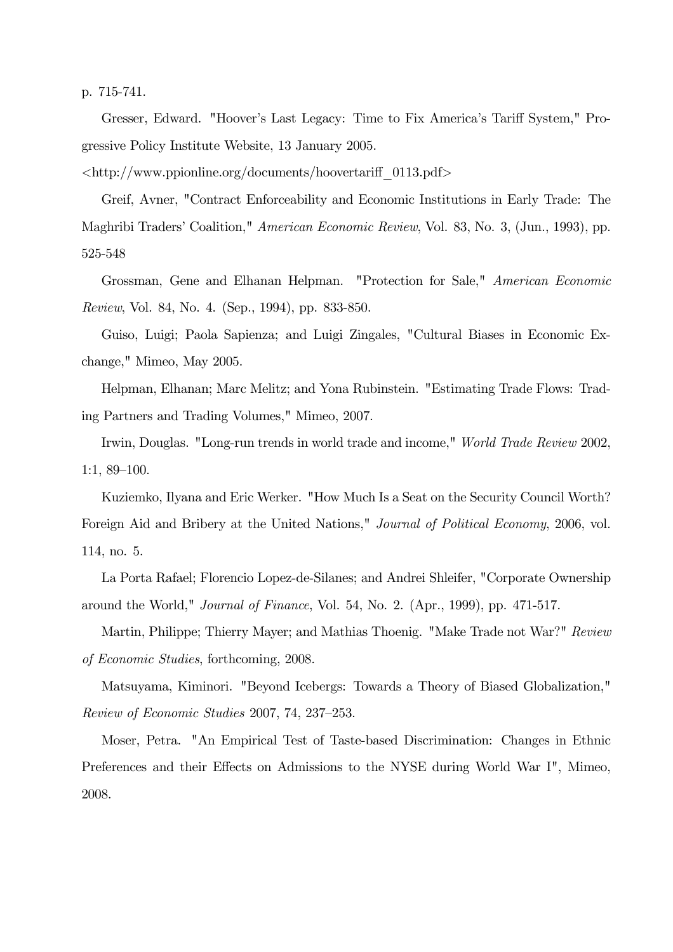p. 715-741.

Gresser, Edward. "Hoover's Last Legacy: Time to Fix America's Tariff System," Progressive Policy Institute Website, 13 January 2005.

 $\langle \text{http://www.ppionline.org/documents/hoovertariff}$  0113.pdf

Greif, Avner, "Contract Enforceability and Economic Institutions in Early Trade: The Maghribi Traders' Coalition," American Economic Review, Vol. 83, No. 3, (Jun., 1993), pp. 525-548

Grossman, Gene and Elhanan Helpman. "Protection for Sale," American Economic Review, Vol. 84, No. 4. (Sep., 1994), pp. 833-850.

Guiso, Luigi; Paola Sapienza; and Luigi Zingales, "Cultural Biases in Economic Exchange," Mimeo, May 2005.

Helpman, Elhanan; Marc Melitz; and Yona Rubinstein. "Estimating Trade Flows: Trading Partners and Trading Volumes," Mimeo, 2007.

Irwin, Douglas. "Long-run trends in world trade and income," World Trade Review 2002, 1:1, 89—100.

Kuziemko, Ilyana and Eric Werker. "How Much Is a Seat on the Security Council Worth? Foreign Aid and Bribery at the United Nations," Journal of Political Economy, 2006, vol. 114, no. 5.

La Porta Rafael; Florencio Lopez-de-Silanes; and Andrei Shleifer, "Corporate Ownership around the World," Journal of Finance, Vol. 54, No. 2. (Apr., 1999), pp. 471-517.

Martin, Philippe; Thierry Mayer; and Mathias Thoenig. "Make Trade not War?" Review of Economic Studies, forthcoming, 2008.

Matsuyama, Kiminori. "Beyond Icebergs: Towards a Theory of Biased Globalization," Review of Economic Studies 2007, 74, 237—253.

Moser, Petra. "An Empirical Test of Taste-based Discrimination: Changes in Ethnic Preferences and their Effects on Admissions to the NYSE during World War I", Mimeo, 2008.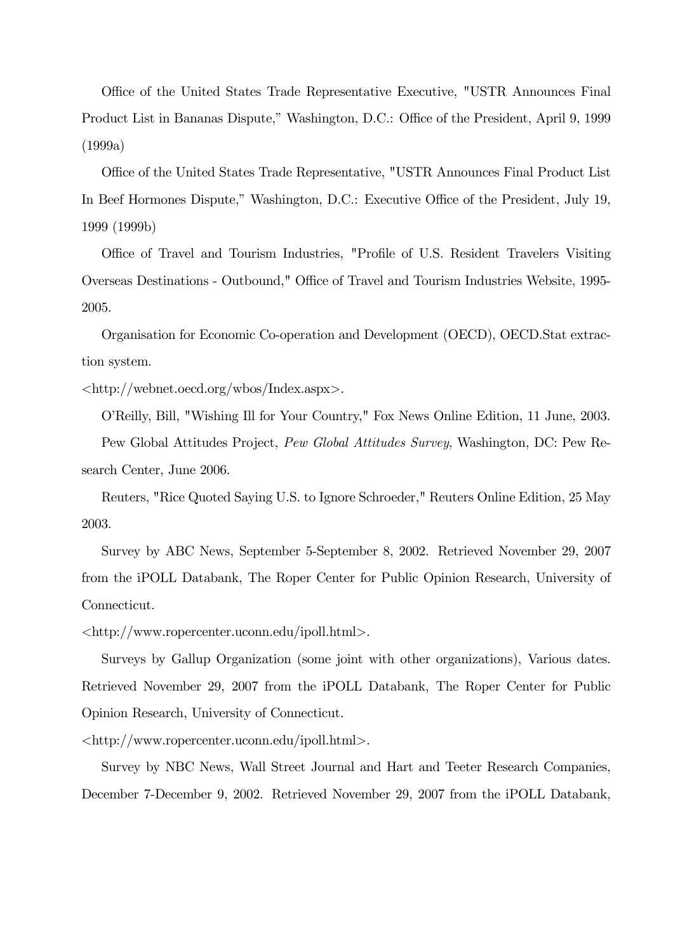Office of the United States Trade Representative Executive, "USTR Announces Final Product List in Bananas Dispute," Washington, D.C.: Office of the President, April 9, 1999 (1999a)

Office of the United States Trade Representative, "USTR Announces Final Product List In Beef Hormones Dispute," Washington, D.C.: Executive Office of the President, July 19, 1999 (1999b)

Office of Travel and Tourism Industries, "Profile of U.S. Resident Travelers Visiting Overseas Destinations - Outbound," Office of Travel and Tourism Industries Website, 1995- 2005.

Organisation for Economic Co-operation and Development (OECD), OECD.Stat extraction system.

<http://webnet.oecd.org/wbos/Index.aspx>.

O'Reilly, Bill, "Wishing Ill for Your Country," Fox News Online Edition, 11 June, 2003.

Pew Global Attitudes Project, Pew Global Attitudes Survey, Washington, DC: Pew Research Center, June 2006.

Reuters, "Rice Quoted Saying U.S. to Ignore Schroeder," Reuters Online Edition, 25 May 2003.

Survey by ABC News, September 5-September 8, 2002. Retrieved November 29, 2007 from the iPOLL Databank, The Roper Center for Public Opinion Research, University of Connecticut.

<http://www.ropercenter.uconn.edu/ipoll.html>.

Surveys by Gallup Organization (some joint with other organizations), Various dates. Retrieved November 29, 2007 from the iPOLL Databank, The Roper Center for Public Opinion Research, University of Connecticut.

<http://www.ropercenter.uconn.edu/ipoll.html>.

Survey by NBC News, Wall Street Journal and Hart and Teeter Research Companies, December 7-December 9, 2002. Retrieved November 29, 2007 from the iPOLL Databank,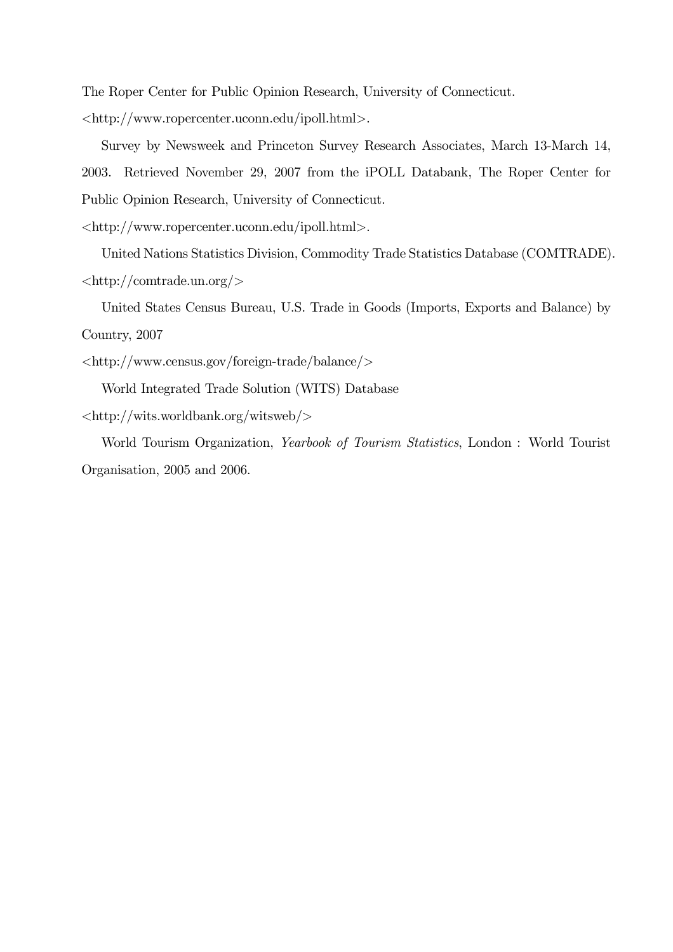The Roper Center for Public Opinion Research, University of Connecticut.

<http://www.ropercenter.uconn.edu/ipoll.html>.

Survey by Newsweek and Princeton Survey Research Associates, March 13-March 14, 2003. Retrieved November 29, 2007 from the iPOLL Databank, The Roper Center for Public Opinion Research, University of Connecticut.

<http://www.ropercenter.uconn.edu/ipoll.html>.

United Nations Statistics Division, Commodity Trade Statistics Database (COMTRADE).  $\langle$ http://comtrade.un.org/ $>$ 

United States Census Bureau, U.S. Trade in Goods (Imports, Exports and Balance) by Country, 2007

```
<http://www.census.gov/foreign-trade/balance/>
```
World Integrated Trade Solution (WITS) Database

```
<http://wits.worldbank.org/witsweb/>
```
World Tourism Organization, Yearbook of Tourism Statistics, London : World Tourist Organisation, 2005 and 2006.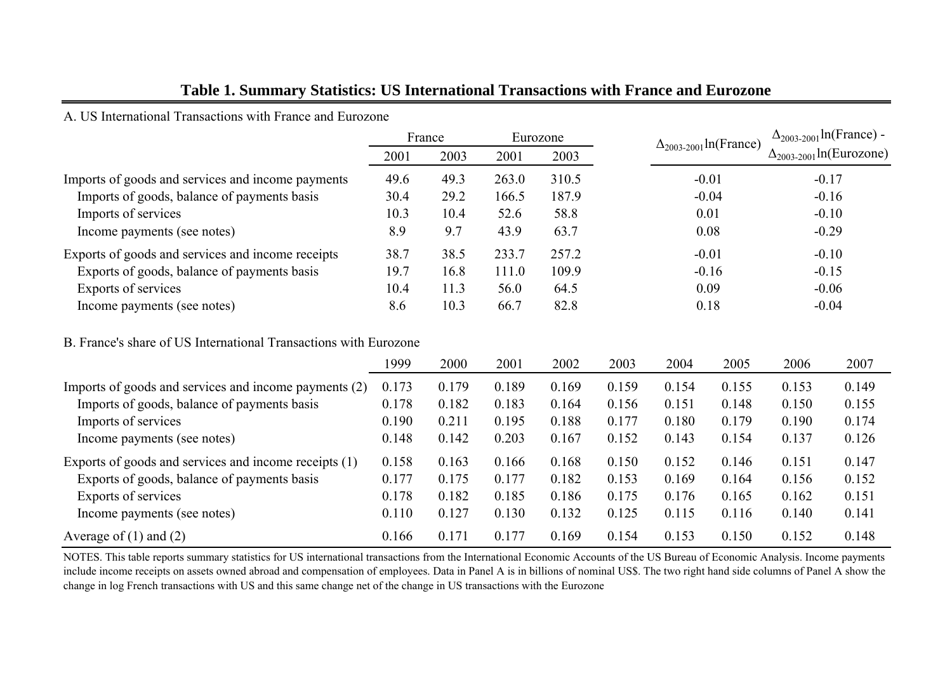#### **Table 1. Summary Statistics: US International Transactions with France and Eurozone**

A. US International Transactions with France and Eurozone

| France |      | Eurozone |       |         | $\Delta_{2003-2001}$ ln(France) - |
|--------|------|----------|-------|---------|-----------------------------------|
| 2001   | 2003 | 2001     | 2003  |         | $\Delta_{2003-2001}$ ln(Eurozone) |
| 49.6   | 49.3 | 263.0    | 310.5 | $-0.01$ | $-0.17$                           |
| 30.4   | 29.2 | 166.5    | 187.9 | $-0.04$ | $-0.16$                           |
| 10.3   | 10.4 | 52.6     | 58.8  | 0.01    | $-0.10$                           |
| 8.9    | 9.7  | 43.9     | 63.7  | 0.08    | $-0.29$                           |
| 38.7   | 38.5 | 233.7    | 257.2 | $-0.01$ | $-0.10$                           |
| 19.7   | 16.8 | 111.0    | 109.9 | $-0.16$ | $-0.15$                           |
| 10.4   | 11.3 | 56.0     | 64.5  | 0.09    | $-0.06$                           |
| 8.6    | 10.3 | 66.7     | 82.8  | 0.18    | $-0.04$                           |
|        |      |          |       |         | $\Delta_{2003-2001}$ ln(France)   |

#### B. France's share of US International Transactions with Eurozone

|                                                       | 1999  | 2000  | 2001  | 2002  | 2003  | 2004  | 2005  | 2006  | 2007  |
|-------------------------------------------------------|-------|-------|-------|-------|-------|-------|-------|-------|-------|
| Imports of goods and services and income payments (2) | 0.173 | 0.179 | 0.189 | 0.169 | 0.159 | 0.154 | 0.155 | 0.153 | 0.149 |
| Imports of goods, balance of payments basis           | 0.178 | 0.182 | 0.183 | 0.164 | 0.156 | 0.151 | 0.148 | 0.150 | 0.155 |
| Imports of services                                   | 0.190 | 0.211 | 0.195 | 0.188 | 0.177 | 0.180 | 0.179 | 0.190 | 0.174 |
| Income payments (see notes)                           | 0.148 | 0.142 | 0.203 | 0.167 | 0.152 | 0.143 | 0.154 | 0.137 | 0.126 |
| Exports of goods and services and income receipts (1) | 0.158 | 0.163 | 0.166 | 0.168 | 0.150 | 0.152 | 0.146 | 0.151 | 0.147 |
| Exports of goods, balance of payments basis           | 0.177 | 0.175 | 0.177 | 0.182 | 0.153 | 0.169 | 0.164 | 0.156 | 0.152 |
| Exports of services                                   | 0.178 | 0.182 | 0.185 | 0.186 | 0.175 | 0.176 | 0.165 | 0.162 | 0.151 |
| Income payments (see notes)                           | 0.110 | 0.127 | 0.130 | 0.132 | 0.125 | 0.115 | 0.116 | 0.140 | 0.141 |
| Average of $(1)$ and $(2)$                            | 0.166 | 0.171 | 0.177 | 0.169 | 0.154 | 0.153 | 0.150 | 0.152 | 0.148 |

NOTES. This table reports summary statistics for US international transactions from the International Economic Accounts of the US Bureau of Economic Analysis. Income payments include income receipts on assets owned abroad and compensation of employees. Data in Panel A is in billions of nominal US\$. The two right hand side columns of Panel A show the change in log French transactions with US and this same change net of the change in US transactions with the Eurozone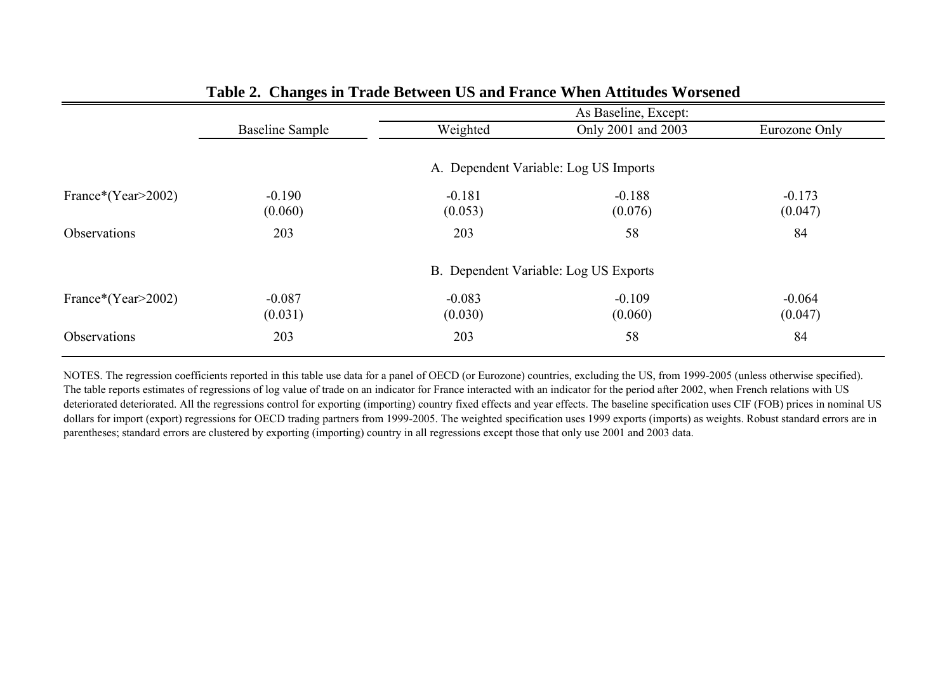|                    |                                       |          | As Baseline, Except:                  |               |  |  |  |
|--------------------|---------------------------------------|----------|---------------------------------------|---------------|--|--|--|
|                    | <b>Baseline Sample</b>                | Weighted | Only 2001 and 2003                    | Eurozone Only |  |  |  |
|                    |                                       |          |                                       |               |  |  |  |
|                    | A. Dependent Variable: Log US Imports |          |                                       |               |  |  |  |
| France*(Year>2002) | $-0.190$                              | $-0.181$ | $-0.188$                              | $-0.173$      |  |  |  |
|                    | (0.060)                               | (0.053)  | (0.076)                               | (0.047)       |  |  |  |
| Observations       | 203                                   | 203      | 58                                    | 84            |  |  |  |
|                    |                                       |          | B. Dependent Variable: Log US Exports |               |  |  |  |
| France*(Year>2002) | $-0.087$                              | $-0.083$ | $-0.109$                              | $-0.064$      |  |  |  |
|                    | (0.031)                               | (0.030)  | (0.060)                               | (0.047)       |  |  |  |
| Observations       | 203                                   | 203      | 58                                    | 84            |  |  |  |
|                    |                                       |          |                                       |               |  |  |  |

#### **Table 2. Changes in Trade Between US and France When Attitudes Worsened**

NOTES. The regression coefficients reported in this table use data for a panel of OECD (or Eurozone) countries, excluding the US, from 1999-2005 (unless otherwise specified). The table reports estimates of regressions of log value of trade on an indicator for France interacted with an indicator for the period after 2002, when French relations with US deteriorated deteriorated. All the regressions control for exporting (importing) country fixed effects and year effects. The baseline specification uses CIF (FOB) prices in nominal US dollars for import (export) regressions for OECD trading partners from 1999-2005. The weighted specification uses 1999 exports (imports) as weights. Robust standard errors are in parentheses; standard errors are clustered by exporting (importing) country in all regressions except those that only use 2001 and 2003 data.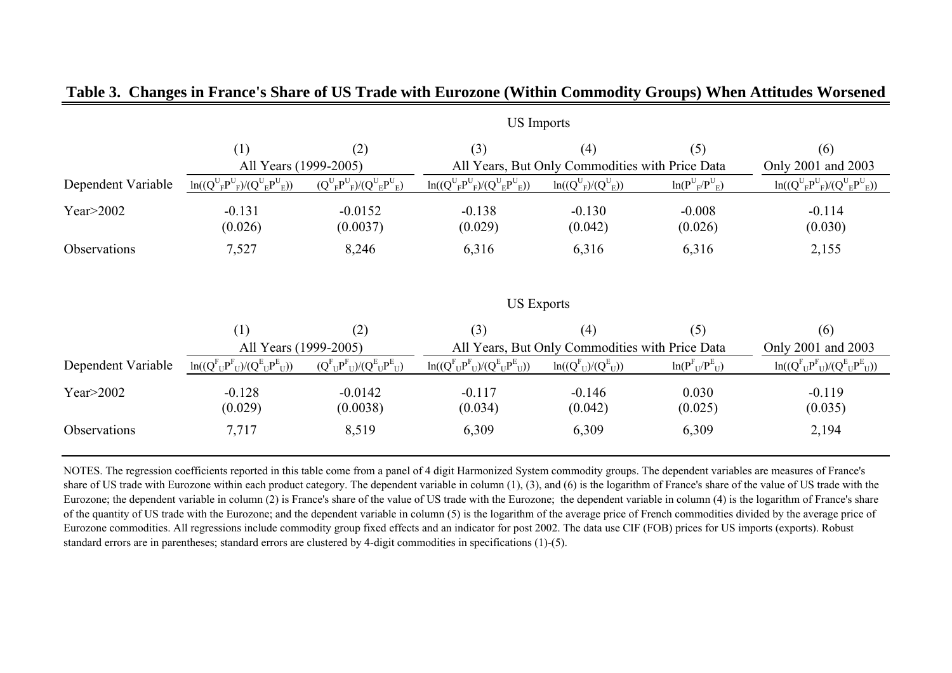|                    | <b>US</b> Imports                         |                                       |                                                 |                                                 |                           |                                           |  |  |  |
|--------------------|-------------------------------------------|---------------------------------------|-------------------------------------------------|-------------------------------------------------|---------------------------|-------------------------------------------|--|--|--|
|                    | (1)                                       | (2)                                   | (3)                                             | (4)                                             | (5)                       | (6)                                       |  |  |  |
|                    | All Years (1999-2005)                     |                                       |                                                 | All Years, But Only Commodities with Price Data |                           | Only 2001 and 2003                        |  |  |  |
| Dependent Variable | $ln((Q^U{}_F P^U{}_F)/(Q^U{}_E P^U{}_E))$ | $(Q^U{}_F P^U{}_F)/(Q^U{}_E P^U{}_E)$ | $ln((Q^U{}_F P^U{}_F)/(Q^U{}_E P^U{}_E))$       | $ln((Q^U_{F})/(Q^U_{E}))$                       | $ln(P^U_F/P^U_E)$         | $ln((Q^U{}_FP^U{}_F)/(Q^U{}_EP^U{}_E))$   |  |  |  |
| Year $>$ 2002      | $-0.131$<br>(0.026)                       | $-0.0152$<br>(0.0037)                 | $-0.138$<br>(0.029)                             | $-0.130$<br>(0.042)                             | $-0.008$<br>(0.026)       | $-0.114$<br>(0.030)                       |  |  |  |
| Observations       | 7,527                                     | 8,246                                 | 6,316                                           | 6,316                                           | 6,316                     | 2,155                                     |  |  |  |
|                    | <b>US Exports</b>                         |                                       |                                                 |                                                 |                           |                                           |  |  |  |
|                    | (1)                                       | (2)                                   | (3)                                             | (4)                                             | (5)                       | (6)                                       |  |  |  |
|                    | All Years (1999-2005)                     |                                       |                                                 | All Years, But Only Commodities with Price Data |                           |                                           |  |  |  |
| Dependent Variable | $ln((Q^F{}_U P^F{}_U)/(Q^E{}_U P^E{}_U))$ | $(Q^F{}_U P^F{}_U)/(Q^E{}_U P^E{}_U)$ | $ln((Q^{F}_{U}P^{F}_{U})/(Q^{E}_{U}P^{E}_{U}))$ | $ln((Q_{U}^{F})/(Q_{U}^{E}))$                   | $ln(P_{U}^{F}/P_{U}^{E})$ | $ln((Q^F{}_U P^F{}_U)/(Q^E{}_U P^E{}_U))$ |  |  |  |
| Year $>$ 2002      | $-0.128$<br>(0.029)                       | $-0.0142$<br>(0.0038)                 | $-0.117$<br>(0.034)                             | $-0.146$<br>(0.042)                             | 0.030<br>(0.025)          | $-0.119$<br>(0.035)                       |  |  |  |
| Observations       | 7,717                                     | 8,519                                 | 6,309                                           | 6,309                                           | 6,309                     | 2,194                                     |  |  |  |

#### **Table 3. Changes in France's Share of US Trade with Eurozone (Within Commodity Groups) When Attitudes Worsened**

NOTES. The regression coefficients reported in this table come from a panel of 4 digit Harmonized System commodity groups. The dependent variables are measures of France's share of US trade with Eurozone within each product category. The dependent variable in column (1), (3), and (6) is the logarithm of France's share of the value of US trade with the Eurozone; the dependent variable in column (2) is France's share of the value of US trade with the Eurozone; the dependent variable in column (4) is the logarithm of France's share of the quantity of US trade with the Eurozone; and the dependent variable in column (5) is the logarithm of the average price of French commodities divided by the average price of Eurozone commodities. All regressions include commodity group fixed effects and an indicator for post 2002. The data use CIF (FOB) prices for US imports (exports). Robust standard errors are in parentheses; standard errors are clustered by 4-digit commodities in specifications (1)-(5).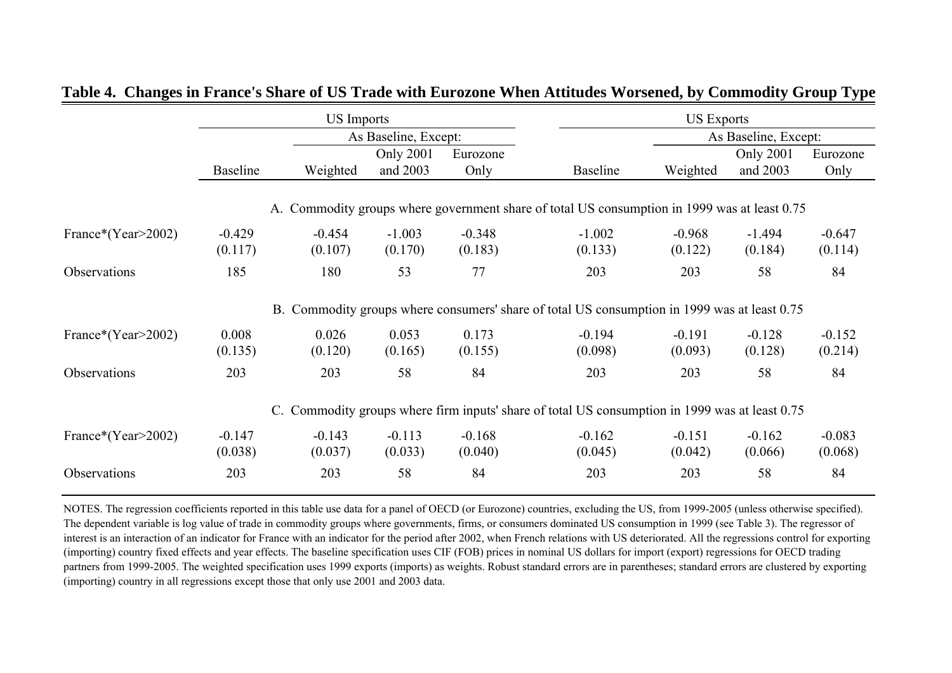|                    |          | <b>US</b> Imports |                      |          |                                                                                                | <b>US Exports</b> |                      |          |  |  |
|--------------------|----------|-------------------|----------------------|----------|------------------------------------------------------------------------------------------------|-------------------|----------------------|----------|--|--|
|                    |          |                   | As Baseline, Except: |          |                                                                                                |                   | As Baseline, Except: |          |  |  |
|                    |          |                   | <b>Only 2001</b>     | Eurozone |                                                                                                |                   | Only 2001            | Eurozone |  |  |
|                    | Baseline | Weighted          | and 2003             | Only     | <b>Baseline</b>                                                                                | Weighted          | and 2003             | Only     |  |  |
|                    |          |                   |                      |          |                                                                                                |                   |                      |          |  |  |
|                    |          |                   |                      |          | A. Commodity groups where government share of total US consumption in 1999 was at least 0.75   |                   |                      |          |  |  |
| France*(Year>2002) | $-0.429$ | $-0.454$          | $-1.003$             | $-0.348$ | $-1.002$                                                                                       | $-0.968$          | $-1.494$             | $-0.647$ |  |  |
|                    | (0.117)  | (0.107)           | (0.170)              | (0.183)  | (0.133)                                                                                        | (0.122)           | (0.184)              | (0.114)  |  |  |
| Observations       | 185      | 180               | 53                   | 77       | 203                                                                                            | 203               | 58                   | 84       |  |  |
|                    |          |                   |                      |          | B. Commodity groups where consumers' share of total US consumption in 1999 was at least 0.75   |                   |                      |          |  |  |
| France*(Year>2002) | 0.008    | 0.026             | 0.053                | 0.173    | $-0.194$                                                                                       | $-0.191$          | $-0.128$             | $-0.152$ |  |  |
|                    | (0.135)  | (0.120)           | (0.165)              | (0.155)  | (0.098)                                                                                        | (0.093)           | (0.128)              | (0.214)  |  |  |
| Observations       | 203      | 203               | 58                   | 84       | 203                                                                                            | 203               | 58                   | 84       |  |  |
|                    |          |                   |                      |          | C. Commodity groups where firm inputs' share of total US consumption in 1999 was at least 0.75 |                   |                      |          |  |  |
| France*(Year>2002) | $-0.147$ | $-0.143$          | $-0.113$             | $-0.168$ | $-0.162$                                                                                       | $-0.151$          | $-0.162$             | $-0.083$ |  |  |
|                    | (0.038)  | (0.037)           | (0.033)              | (0.040)  | (0.045)                                                                                        | (0.042)           | (0.066)              | (0.068)  |  |  |
| Observations       | 203      | 203               | 58                   | 84       | 203                                                                                            | 203               | 58                   | 84       |  |  |

**Table 4. Changes in France's Share of US Trade with Eurozone When Attitudes Worsened, by Commodity Group Type**

NOTES. The regression coefficients reported in this table use data for a panel of OECD (or Eurozone) countries, excluding the US, from 1999-2005 (unless otherwise specified). The dependent variable is log value of trade in commodity groups where governments, firms, or consumers dominated US consumption in 1999 (see Table 3). The regressor of interest is an interaction of an indicator for France with an indicator for the period after 2002, when French relations with US deteriorated. All the regressions control for exporting (importing) country fixed effects and year effects. The baseline specification uses CIF (FOB) prices in nominal US dollars for import (export) regressions for OECD trading partners from 1999-2005. The weighted specification uses 1999 exports (imports) as weights. Robust standard errors are in parentheses; standard errors are clustered by exporting (importing) country in all regressions except those that only use 2001 and 2003 data.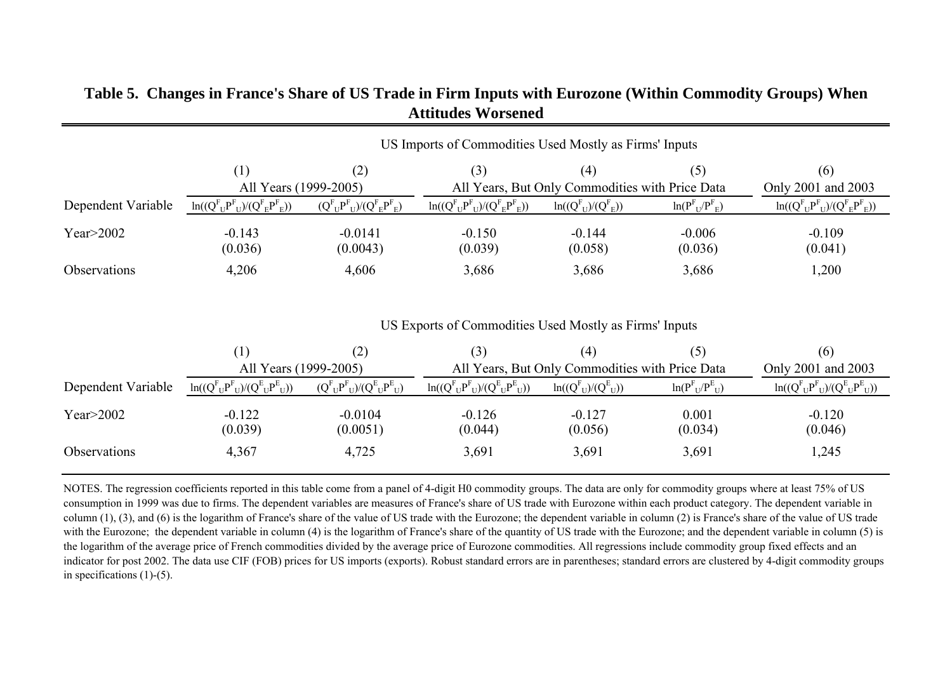|                    | US Imports of Commodities Used Mostly as Firms' Inputs |                                     |                                                  |                                                        |                           |                                                  |  |  |  |
|--------------------|--------------------------------------------------------|-------------------------------------|--------------------------------------------------|--------------------------------------------------------|---------------------------|--------------------------------------------------|--|--|--|
|                    | (1)<br>All Years (1999-2005)                           | (2)                                 | (3)                                              | (4)<br>All Years, But Only Commodities with Price Data | (5)                       | (6)<br>Only 2001 and 2003                        |  |  |  |
| Dependent Variable | $ln((Q_{U}^{F}P_{U}^{F})/(Q_{E}^{F}P_{E}^{F}))$        | $(Q^F_{U}P^F_{U})/(Q^F_{E}P^F_{E})$ | $ln((Q_{U}^{F}P_{U}^{F})/(Q_{E}^{F}P_{E}^{F}))$  | $\ln((Q_{U}^{F})/(Q_{E}^{F}))$                         | $ln(P_{U}^{F}/P_{E}^{F})$ | $\ln((Q_{U}^{F}P_{U}^{F})/(Q_{E}^{F}P_{E}^{F}))$ |  |  |  |
| Year $>2002$       | $-0.143$<br>(0.036)                                    | $-0.0141$<br>(0.0043)               | $-0.150$<br>(0.039)                              | $-0.144$<br>(0.058)                                    | $-0.006$<br>(0.036)       | $-0.109$<br>(0.041)                              |  |  |  |
| Observations       | 4,206                                                  | 4,606                               | 3,686                                            | 3,686                                                  | 3,686                     | 1,200                                            |  |  |  |
|                    | US Exports of Commodities Used Mostly as Firms' Inputs |                                     |                                                  |                                                        |                           |                                                  |  |  |  |
|                    | (1)                                                    | (2)                                 | (3)                                              | (4)                                                    | (5)                       | (6)                                              |  |  |  |
|                    | All Years (1999-2005)                                  |                                     |                                                  | All Years, But Only Commodities with Price Data        |                           | Only 2001 and 2003                               |  |  |  |
| Dependent Variable | $ln((Q^F{}_U P^F{}_U)/(Q^E{}_U P^E{}_U))$              | $(Q^{F}U^{P}U)/(Q^{E}U^{P}U)$       | $\ln((Q^{F}_{U}P^{F}_{U})/(Q^{E}_{U}P^{E}_{U}))$ | $ln((QFU)/(QEU))$                                      | $ln(P_{U}^{F}/P_{U}^{E})$ | $ln((Q^F{}_U P^F{}_U)/(Q^E{}_U P^E{}_U))$        |  |  |  |
| Year $>2002$       | $-0.122$<br>(0.039)                                    | $-0.0104$<br>(0.0051)               | $-0.126$<br>(0.044)                              | $-0.127$<br>(0.056)                                    | 0.001<br>(0.034)          | $-0.120$<br>(0.046)                              |  |  |  |
| Observations       | 4,367                                                  | 4,725                               | 3,691                                            | 3,691                                                  | 3,691                     | 1,245                                            |  |  |  |

#### **Table 5. Changes in France's Share of US Trade in Firm Inputs with Eurozone (Within Commodity Groups) When Attitudes Worsened**

NOTES. The regression coefficients reported in this table come from a panel of 4-digit H0 commodity groups. The data are only for commodity groups where at least 75% of US consumption in 1999 was due to firms. The dependent variables are measures of France's share of US trade with Eurozone within each product category. The dependent variable in column  $(1)$ ,  $(3)$ , and  $(6)$  is the logarithm of France's share of the value of US trade with the Eurozone; the dependent variable in column  $(2)$  is France's share of the value of US trade with the Eurozone; the dependent variable in column (4) is the logarithm of France's share of the quantity of US trade with the Eurozone; and the dependent variable in column (5) is the logarithm of the average price of French commodities divided by the average price of Eurozone commodities. All regressions include commodity group fixed effects and an indicator for post 2002. The data use CIF (FOB) prices for US imports (exports). Robust standard errors are in parentheses; standard errors are clustered by 4-digit commodity groups in specifications  $(1)-(5)$ .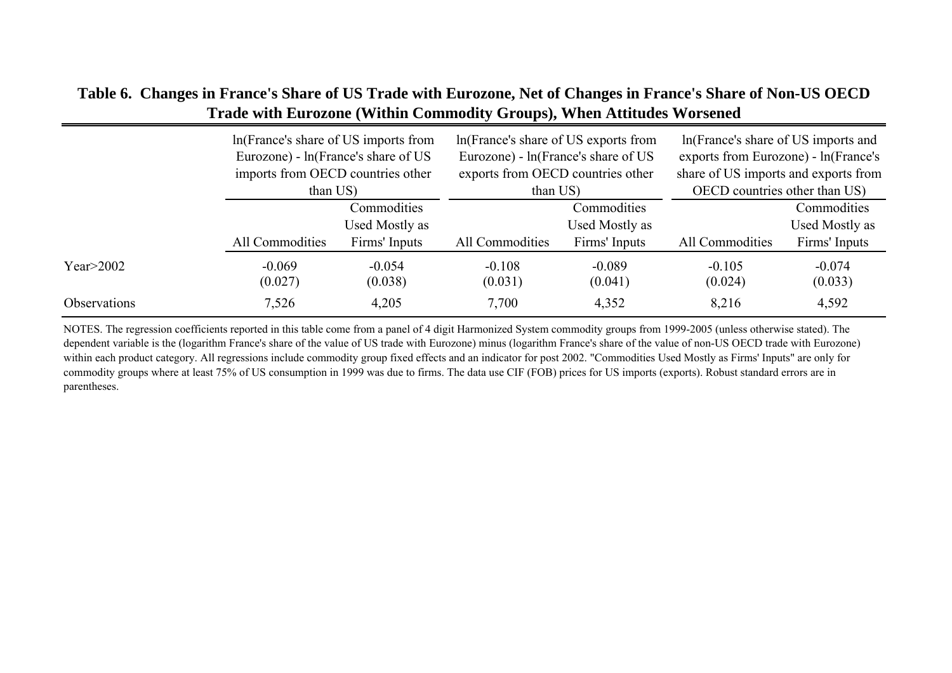#### **Table 6. Changes in France's Share of US Trade with Eurozone, Net of Changes in France's Share of Non-US OECD Trade with Eurozone (Within Commodity Groups), When Attitudes Worsened**

|                     | In (France's share of US imports from<br>Eurozone) - ln(France's share of US |                                                | In (France's share of US exports from<br>Eurozone) - ln(France's share of US |                                                | In (France's share of US imports and<br>exports from Eurozone) - ln(France's |                                                |  |
|---------------------|------------------------------------------------------------------------------|------------------------------------------------|------------------------------------------------------------------------------|------------------------------------------------|------------------------------------------------------------------------------|------------------------------------------------|--|
|                     | imports from OECD countries other<br>than US)                                |                                                | exports from OECD countries other<br>than US)                                |                                                | share of US imports and exports from<br>OECD countries other than US)        |                                                |  |
|                     | All Commodities                                                              | Commodities<br>Used Mostly as<br>Firms' Inputs | All Commodities                                                              | Commodities<br>Used Mostly as<br>Firms' Inputs | All Commodities                                                              | Commodities<br>Used Mostly as<br>Firms' Inputs |  |
| Year $>2002$        | $-0.069$<br>(0.027)                                                          | $-0.054$<br>(0.038)                            | $-0.108$<br>(0.031)                                                          | $-0.089$<br>(0.041)                            | $-0.105$<br>(0.024)                                                          | $-0.074$<br>(0.033)                            |  |
| <b>Observations</b> | 7,526                                                                        | 4,205                                          | 7,700                                                                        | 4,352                                          | 8,216                                                                        | 4,592                                          |  |

NOTES. The regression coefficients reported in this table come from a panel of 4 digit Harmonized System commodity groups from 1999-2005 (unless otherwise stated). The dependent variable is the (logarithm France's share of the value of US trade with Eurozone) minus (logarithm France's share of the value of non-US OECD trade with Eurozone) within each product category. All regressions include commodity group fixed effects and an indicator for post 2002. "Commodities Used Mostly as Firms' Inputs" are only for commodity groups where at least 75% of US consumption in 1999 was due to firms. The data use CIF (FOB) prices for US imports (exports). Robust standard errors are in parentheses.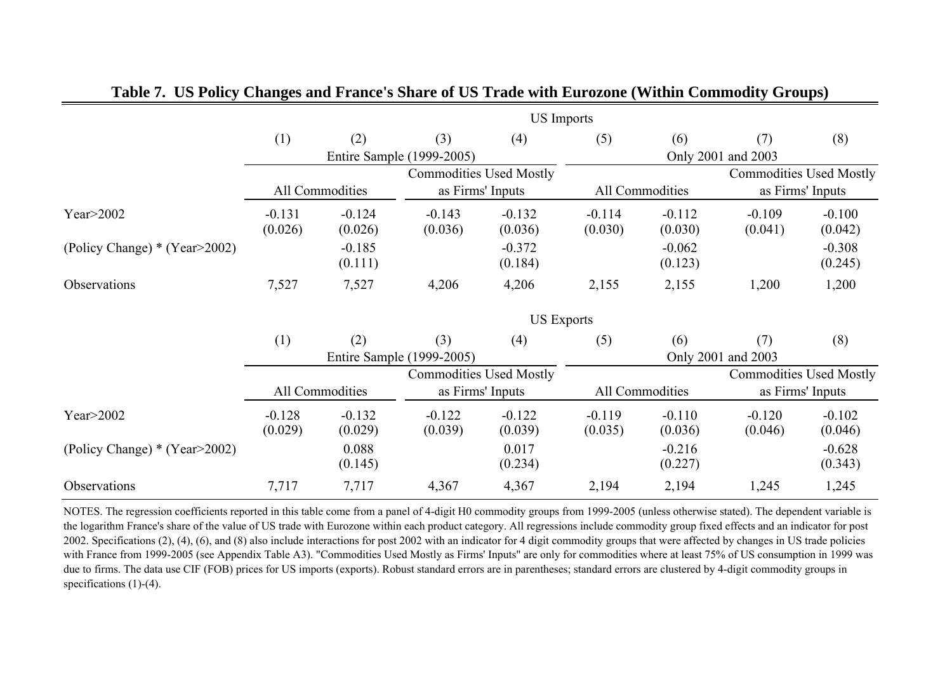|                               |                     | <b>US</b> Imports   |                                |                     |                     |                     |                     |                                |  |  |
|-------------------------------|---------------------|---------------------|--------------------------------|---------------------|---------------------|---------------------|---------------------|--------------------------------|--|--|
|                               | (1)                 | (2)                 | (3)                            | (4)                 | (5)                 | (6)                 | (7)                 | (8)                            |  |  |
|                               |                     |                     | Entire Sample (1999-2005)      |                     |                     |                     | Only 2001 and 2003  |                                |  |  |
|                               |                     |                     | <b>Commodities Used Mostly</b> |                     |                     |                     |                     | <b>Commodities Used Mostly</b> |  |  |
|                               |                     | All Commodities     | as Firms' Inputs               |                     |                     | All Commodities     |                     | as Firms' Inputs               |  |  |
| Year $>$ 2002                 | $-0.131$<br>(0.026) | $-0.124$<br>(0.026) | $-0.143$<br>(0.036)            | $-0.132$<br>(0.036) | $-0.114$<br>(0.030) | $-0.112$<br>(0.030) | $-0.109$<br>(0.041) | $-0.100$<br>(0.042)            |  |  |
| (Policy Change) * (Year>2002) |                     | $-0.185$<br>(0.111) |                                | $-0.372$<br>(0.184) |                     | $-0.062$<br>(0.123) |                     | $-0.308$<br>(0.245)            |  |  |
| Observations                  | 7,527               | 7,527               | 4,206                          | 4,206               | 2,155               | 2,155               | 1,200               | 1,200                          |  |  |
|                               | <b>US Exports</b>   |                     |                                |                     |                     |                     |                     |                                |  |  |
|                               | (1)                 | (2)                 | (3)                            | (4)                 | (5)                 | (6)                 | (7)                 | (8)                            |  |  |
|                               |                     |                     | Entire Sample (1999-2005)      |                     | Only 2001 and 2003  |                     |                     |                                |  |  |
|                               |                     |                     | <b>Commodities Used Mostly</b> |                     |                     |                     |                     | <b>Commodities Used Mostly</b> |  |  |
|                               |                     | All Commodities     | as Firms' Inputs               |                     |                     | All Commodities     |                     | as Firms' Inputs               |  |  |
| Year $>$ 2002                 | $-0.128$<br>(0.029) | $-0.132$<br>(0.029) | $-0.122$<br>(0.039)            | $-0.122$<br>(0.039) | $-0.119$<br>(0.035) | $-0.110$<br>(0.036) | $-0.120$<br>(0.046) | $-0.102$<br>(0.046)            |  |  |
| (Policy Change) * (Year>2002) |                     | 0.088<br>(0.145)    |                                | 0.017<br>(0.234)    |                     | $-0.216$<br>(0.227) |                     | $-0.628$<br>(0.343)            |  |  |
| Observations                  | 7,717               | 7,717               | 4,367                          | 4,367               | 2,194               | 2,194               | 1,245               | 1,245                          |  |  |

#### **Table 7. US Policy Changes and France's Share of US Trade with Eurozone (Within Commodity Groups)**

NOTES. The regression coefficients reported in this table come from a panel of 4-digit H0 commodity groups from 1999-2005 (unless otherwise stated). The dependent variable is the logarithm France's share of the value of US trade with Eurozone within each product category. All regressions include commodity group fixed effects and an indicator for post 2002. Specifications (2), (4), (6), and (8) also include interactions for post 2002 with an indicator for 4 digit commodity groups that were affected by changes in US trade policies with France from 1999-2005 (see Appendix Table A3). "Commodities Used Mostly as Firms' Inputs" are only for commodities where at least 75% of US consumption in 1999 was due to firms. The data use CIF (FOB) prices for US imports (exports). Robust standard errors are in parentheses; standard errors are clustered by 4-digit commodity groups in specifications (1)-(4).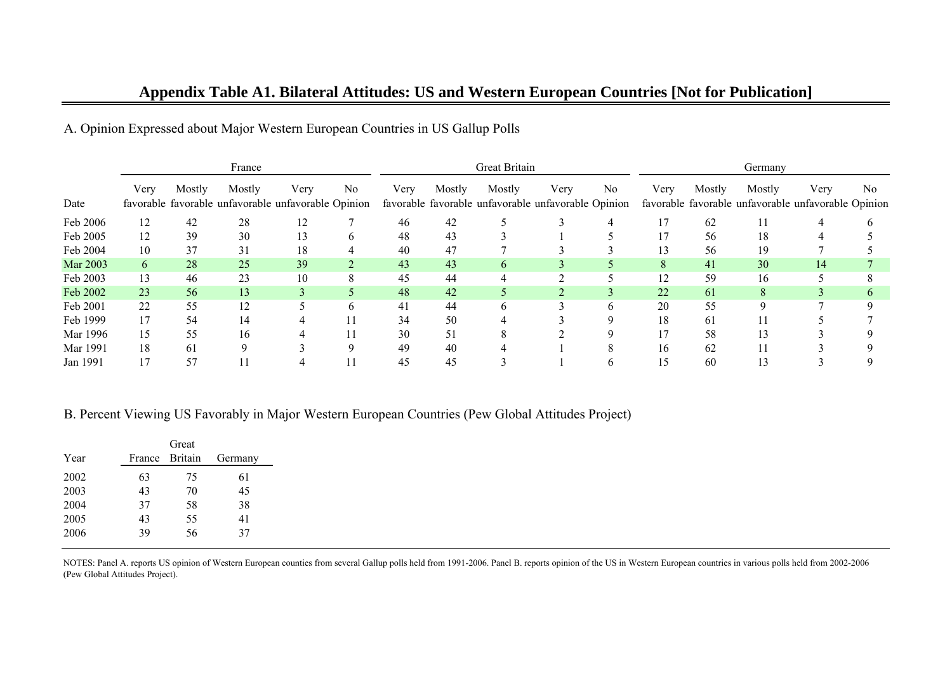|          | France |        |                                                               |      |                |      | Great Britain |          |                                                             |                | Germany |        |        |                                                             |                |
|----------|--------|--------|---------------------------------------------------------------|------|----------------|------|---------------|----------|-------------------------------------------------------------|----------------|---------|--------|--------|-------------------------------------------------------------|----------------|
| Date     | Very   | Mostly | Mostly<br>favorable favorable unfavorable unfavorable Opinion | Very | No             | Very | Mostly        | Mostly   | Very<br>favorable favorable unfavorable unfavorable Opinion | N <sub>0</sub> | Very    | Mostly | Mostly | Very<br>favorable favorable unfavorable unfavorable Opinion | N <sub>0</sub> |
| Feb 2006 | 12     | 42     | 28                                                            | 12   |                | 46   | 42            |          |                                                             |                | 17      | 62     |        |                                                             |                |
| Feb 2005 | 12     | 39     | 30                                                            |      |                | 48   | 43            |          |                                                             |                | 17      | 56     | 18     |                                                             |                |
| Feb 2004 | 10     | 37     | 31                                                            | 18   |                | 40   | 47            |          |                                                             |                | 13      | 56     | 19     |                                                             |                |
| Mar 2003 | 6      | 28     | 25                                                            | 39   | $\overline{2}$ | 43   | 43            | $\sigma$ |                                                             |                | 8       | 41     | 30     | 14                                                          |                |
| Feb 2003 | 13     | 46     | 23                                                            | 10   | 8              | 45   | 44            |          |                                                             |                | 12      | 59     | 16     |                                                             |                |
| Feb 2002 | 23     | 56     | 13                                                            |      |                | 48   | 42            |          |                                                             |                | 22      | 61     | 8      |                                                             |                |
| Feb 2001 | 22     | 55     | 12                                                            |      | h.             | 41   | 44            | 6.       |                                                             | h              | 20      | 55     | q      |                                                             |                |
| Feb 1999 | 17     | 54     | 14                                                            |      |                | 34   | 50            |          |                                                             |                | 18      | 61     |        |                                                             |                |
| Mar 1996 | 15     | 55     | 16                                                            |      |                | 30   | 51            |          |                                                             |                | 17      | 58     | 13     |                                                             |                |
| Mar 1991 | 18     | 61     |                                                               |      |                | 49   | 40            |          |                                                             |                | 16      | 62     |        |                                                             |                |
| Jan 1991 | 17     | 57     |                                                               |      |                | 45   | 45            |          |                                                             |                | 15      | 60     | 13     |                                                             |                |

A. Opinion Expressed about Major Western European Countries in US Gallup Polls

#### B. Percent Viewing US Favorably in Major Western European Countries (Pew Global Attitudes Project)

|      |        | Great          |         |
|------|--------|----------------|---------|
| Year | France | <b>Britain</b> | Germany |
| 2002 | 63     | 75             | 61      |
| 2003 | 43     | 70             | 45      |
| 2004 | 37     | 58             | 38      |
| 2005 | 43     | 55             | 41      |
| 2006 | 39     | 56             | 37      |

NOTES: Panel A. reports US opinion of Western European counties from several Gallup polls held from 1991-2006. Panel B. reports opinion of the US in Western European countries in various polls held from 2002-2006 (Pew Global Attitudes Project).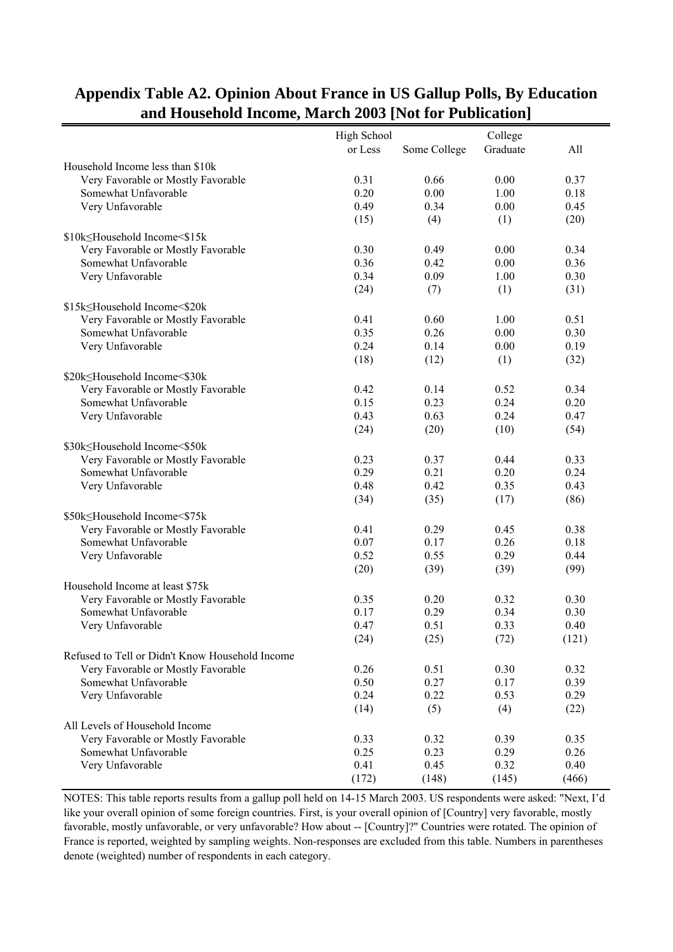|                                                 | High School |              | College  |       |
|-------------------------------------------------|-------------|--------------|----------|-------|
|                                                 | or Less     | Some College | Graduate | All   |
| Household Income less than \$10k                |             |              |          |       |
| Very Favorable or Mostly Favorable              | 0.31        | 0.66         | 0.00     | 0.37  |
| Somewhat Unfavorable                            | 0.20        | 0.00         | 1.00     | 0.18  |
| Very Unfavorable                                | 0.49        | 0.34         | 0.00     | 0.45  |
|                                                 | (15)        | (4)          | (1)      | (20)  |
|                                                 |             |              |          |       |
| \$10k≤Household Income<\$15k                    |             |              |          |       |
| Very Favorable or Mostly Favorable              | 0.30        | 0.49         | 0.00     | 0.34  |
| Somewhat Unfavorable                            | 0.36        | 0.42         | 0.00     | 0.36  |
| Very Unfavorable                                | 0.34        | 0.09         | 1.00     | 0.30  |
|                                                 | (24)        | (7)          | (1)      | (31)  |
| \$15k≤Household Income<\$20k                    |             |              |          |       |
| Very Favorable or Mostly Favorable              | 0.41        | 0.60         | 1.00     | 0.51  |
| Somewhat Unfavorable                            | 0.35        | 0.26         | 0.00     | 0.30  |
| Very Unfavorable                                | 0.24        | 0.14         | 0.00     | 0.19  |
|                                                 |             |              |          |       |
|                                                 | (18)        | (12)         | (1)      | (32)  |
| \$20k≤Household Income<\$30k                    |             |              |          |       |
| Very Favorable or Mostly Favorable              | 0.42        | 0.14         | 0.52     | 0.34  |
| Somewhat Unfavorable                            | 0.15        | 0.23         | 0.24     | 0.20  |
| Very Unfavorable                                | 0.43        | 0.63         | 0.24     | 0.47  |
|                                                 | (24)        | (20)         | (10)     | (54)  |
| \$30k≤Household Income<\$50k                    |             |              |          |       |
| Very Favorable or Mostly Favorable              | 0.23        | 0.37         | 0.44     | 0.33  |
| Somewhat Unfavorable                            | 0.29        | 0.21         | 0.20     | 0.24  |
|                                                 | 0.48        |              |          |       |
| Very Unfavorable                                |             | 0.42         | 0.35     | 0.43  |
|                                                 | (34)        | (35)         | (17)     | (86)  |
| \$50k≤Household Income<\$75k                    |             |              |          |       |
| Very Favorable or Mostly Favorable              | 0.41        | 0.29         | 0.45     | 0.38  |
| Somewhat Unfavorable                            | 0.07        | 0.17         | 0.26     | 0.18  |
| Very Unfavorable                                | 0.52        | 0.55         | 0.29     | 0.44  |
|                                                 | (20)        | (39)         | (39)     | (99)  |
| Household Income at least \$75k                 |             |              |          |       |
|                                                 | 0.35        | 0.20         | 0.32     | 0.30  |
| Very Favorable or Mostly Favorable              |             |              |          |       |
| Somewhat Unfavorable                            | 0.17        | 0.29         | 0.34     | 0.30  |
| Very Unfavorable                                | 0.47        | 0.51         | 0.33     | 0.40  |
|                                                 | (24)        | (25)         | (72)     | (121) |
| Refused to Tell or Didn't Know Household Income |             |              |          |       |
| Very Favorable or Mostly Favorable              | 0.26        | 0.51         | 0.30     | 0.32  |
| Somewhat Unfavorable                            | 0.50        | 0.27         | 0.17     | 0.39  |
| Very Unfavorable                                | 0.24        | 0.22         | 0.53     | 0.29  |
|                                                 | (14)        | (5)          | (4)      | (22)  |
|                                                 |             |              |          |       |
| All Levels of Household Income                  |             |              |          |       |
| Very Favorable or Mostly Favorable              | 0.33        | 0.32         | 0.39     | 0.35  |
| Somewhat Unfavorable                            | 0.25        | 0.23         | 0.29     | 0.26  |
| Very Unfavorable                                | 0.41        | 0.45         | 0.32     | 0.40  |
|                                                 | (172)       | (148)        | (145)    | (466) |

#### **Appendix Table A2. Opinion About France in US Gallup Polls, By Education and Household Income, March 2003 [Not for Publication]**

NOTES: This table reports results from a gallup poll held on 14-15 March 2003. US respondents were asked: "Next, I'd like your overall opinion of some foreign countries. First, is your overall opinion of [Country] very favorable, mostly favorable, mostly unfavorable, or very unfavorable? How about -- [Country]?" Countries were rotated. The opinion of France is reported, weighted by sampling weights. Non-responses are excluded from this table. Numbers in parentheses denote (weighted) number of respondents in each category.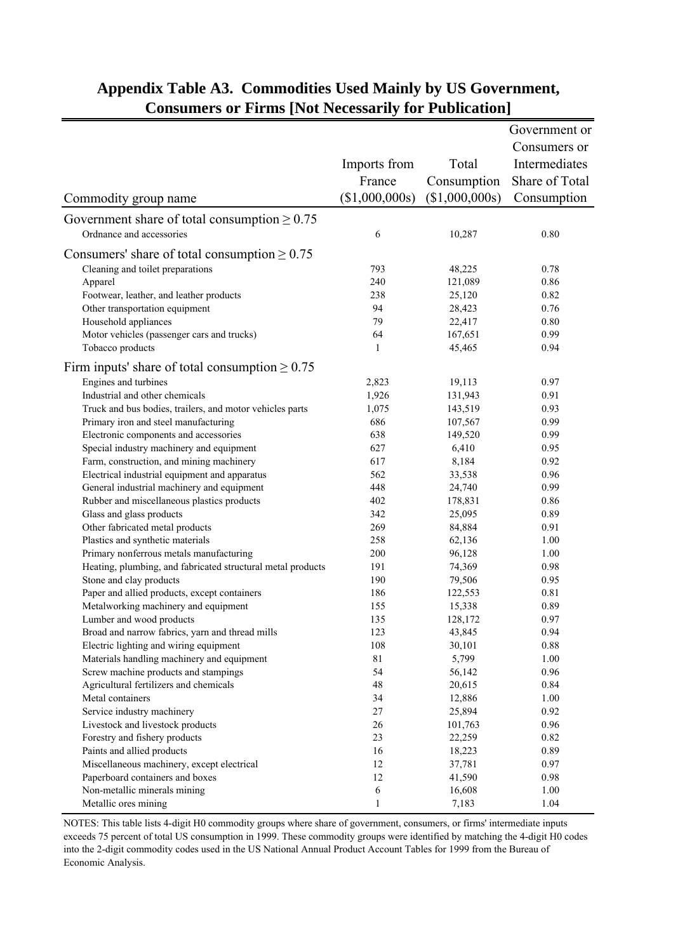|                                                             |                |                | Government or  |
|-------------------------------------------------------------|----------------|----------------|----------------|
|                                                             |                |                | Consumers or   |
|                                                             |                | Total          | Intermediates  |
|                                                             | Imports from   |                |                |
|                                                             | France         | Consumption    | Share of Total |
| Commodity group name                                        | (\$1,000,000s) | (\$1,000,000s) | Consumption    |
| Government share of total consumption $\geq 0.75$           |                |                |                |
| Ordnance and accessories                                    | 6              | 10,287         | 0.80           |
| Consumers' share of total consumption $\geq 0.75$           |                |                |                |
| Cleaning and toilet preparations                            | 793            | 48,225         | 0.78           |
| Apparel                                                     | 240            | 121,089        | 0.86           |
| Footwear, leather, and leather products                     | 238            | 25,120         | 0.82           |
| Other transportation equipment                              | 94             | 28,423         | 0.76           |
| Household appliances                                        | 79             | 22,417         | 0.80           |
| Motor vehicles (passenger cars and trucks)                  | 64             | 167,651        | 0.99           |
| Tobacco products                                            | 1              | 45,465         | 0.94           |
|                                                             |                |                |                |
| Firm inputs' share of total consumption $\geq 0.75$         |                |                |                |
| Engines and turbines                                        | 2,823          | 19,113         | 0.97           |
| Industrial and other chemicals                              | 1,926          | 131,943        | 0.91           |
| Truck and bus bodies, trailers, and motor vehicles parts    | 1,075          | 143,519        | 0.93           |
| Primary iron and steel manufacturing                        | 686            | 107,567        | 0.99           |
| Electronic components and accessories                       | 638            | 149,520        | 0.99           |
| Special industry machinery and equipment                    | 627            | 6,410          | 0.95           |
| Farm, construction, and mining machinery                    | 617            | 8,184          | 0.92           |
| Electrical industrial equipment and apparatus               | 562            | 33,538         | 0.96           |
| General industrial machinery and equipment                  | 448            | 24,740         | 0.99           |
| Rubber and miscellaneous plastics products                  | 402            | 178,831        | 0.86           |
| Glass and glass products                                    | 342            | 25,095         | 0.89           |
| Other fabricated metal products                             | 269            | 84,884         | 0.91           |
| Plastics and synthetic materials                            | 258            | 62,136         | 1.00           |
| Primary nonferrous metals manufacturing                     | 200            | 96,128         | 1.00           |
| Heating, plumbing, and fabricated structural metal products | 191            | 74,369         | 0.98           |
| Stone and clay products                                     | 190            | 79,506         | 0.95           |
| Paper and allied products, except containers                | 186            | 122,553        | 0.81           |
| Metalworking machinery and equipment                        | 155            | 15,338         | 0.89           |
| Lumber and wood products                                    | 135            | 128,172        | 0.97           |
| Broad and narrow fabrics, yarn and thread mills             | 123            | 43,845         | 0.94           |
| Electric lighting and wiring equipment                      | 108            | 30,101         | $0.88\,$       |
| Materials handling machinery and equipment                  | 81             | 5,799          | 1.00           |
| Screw machine products and stampings                        | 54             | 56,142         | 0.96           |
| Agricultural fertilizers and chemicals                      | 48             | 20,615         | 0.84           |
| Metal containers                                            | 34             | 12,886         | 1.00           |
| Service industry machinery                                  | 27             | 25,894         | 0.92           |
| Livestock and livestock products                            | 26             | 101,763        | 0.96           |
| Forestry and fishery products                               | 23             | 22,259         | 0.82           |
| Paints and allied products                                  | 16             | 18,223         | 0.89           |
| Miscellaneous machinery, except electrical                  | 12             | 37,781         | 0.97           |
| Paperboard containers and boxes                             | 12             | 41,590         | 0.98           |
| Non-metallic minerals mining                                | 6              | 16,608         | 1.00           |
| Metallic ores mining                                        | $\,1$          | 7,183          | 1.04           |

## **Appendix Table A3. Commodities Used Mainly by US Government, Consumers or Firms [Not Necessarily for Publication]**

NOTES: This table lists 4-digit H0 commodity groups where share of government, consumers, or firms' intermediate inputs exceeds 75 percent of total US consumption in 1999. These commodity groups were identified by matching the 4-digit H0 codes into the 2-digit commodity codes used in the US National Annual Product Account Tables for 1999 from the Bureau of Economic Analysis.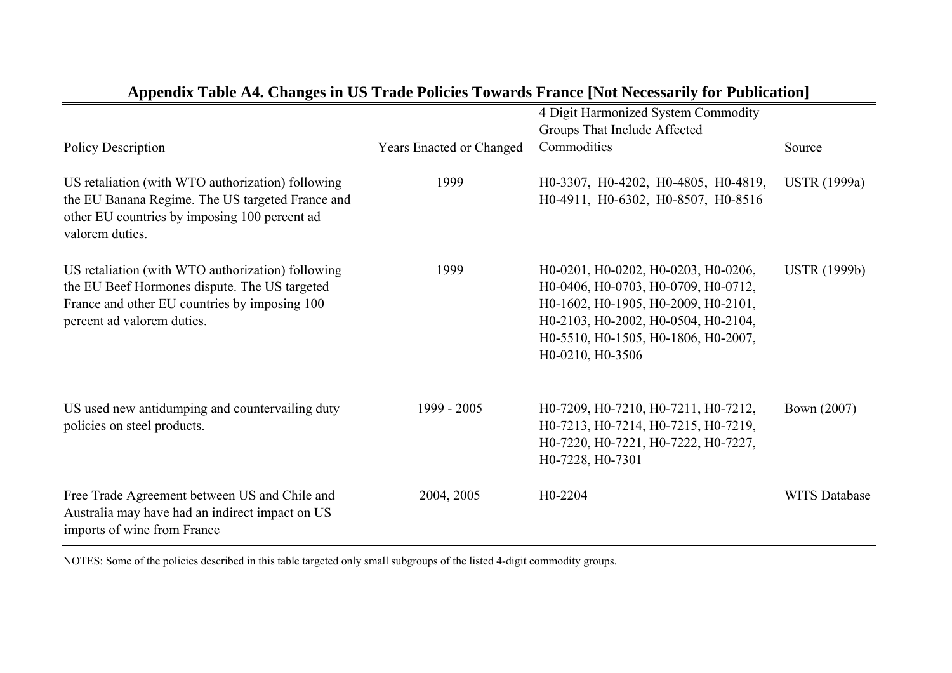|                                                                                                                                 |                                 | 4 Digit Harmonized System Commodity                     |                      |
|---------------------------------------------------------------------------------------------------------------------------------|---------------------------------|---------------------------------------------------------|----------------------|
|                                                                                                                                 |                                 | Groups That Include Affected                            |                      |
| <b>Policy Description</b>                                                                                                       | <b>Years Enacted or Changed</b> | Commodities                                             | Source               |
|                                                                                                                                 |                                 |                                                         |                      |
| US retaliation (with WTO authorization) following                                                                               | 1999                            | H0-3307, H0-4202, H0-4805, H0-4819,                     | <b>USTR</b> (1999a)  |
| the EU Banana Regime. The US targeted France and<br>other EU countries by imposing 100 percent ad<br>valorem duties.            |                                 | H0-4911, H0-6302, H0-8507, H0-8516                      |                      |
|                                                                                                                                 |                                 |                                                         |                      |
| US retaliation (with WTO authorization) following                                                                               | 1999                            | H0-0201, H0-0202, H0-0203, H0-0206,                     | <b>USTR</b> (1999b)  |
| the EU Beef Hormones dispute. The US targeted                                                                                   |                                 | H0-0406, H0-0703, H0-0709, H0-0712,                     |                      |
| France and other EU countries by imposing 100                                                                                   |                                 | H0-1602, H0-1905, H0-2009, H0-2101,                     |                      |
| percent ad valorem duties.                                                                                                      |                                 | H0-2103, H0-2002, H0-0504, H0-2104,                     |                      |
|                                                                                                                                 |                                 | H0-5510, H0-1505, H0-1806, H0-2007,<br>H0-0210, H0-3506 |                      |
|                                                                                                                                 |                                 |                                                         |                      |
| US used new antidumping and countervailing duty                                                                                 | 1999 - 2005                     | H0-7209, H0-7210, H0-7211, H0-7212,                     | Bown (2007)          |
| policies on steel products.                                                                                                     |                                 | H0-7213, H0-7214, H0-7215, H0-7219,                     |                      |
|                                                                                                                                 |                                 | H0-7220, H0-7221, H0-7222, H0-7227,                     |                      |
|                                                                                                                                 |                                 | H0-7228, H0-7301                                        |                      |
|                                                                                                                                 |                                 |                                                         |                      |
| Free Trade Agreement between US and Chile and<br>Australia may have had an indirect impact on US<br>imports of wine from France | 2004, 2005                      | H0-2204                                                 | <b>WITS Database</b> |

## **Appendix Table A4. Changes in US Trade Policies Towards France [Not Necessarily for Publication]**

NOTES: Some of the policies described in this table targeted only small subgroups of the listed 4-digit commodity groups.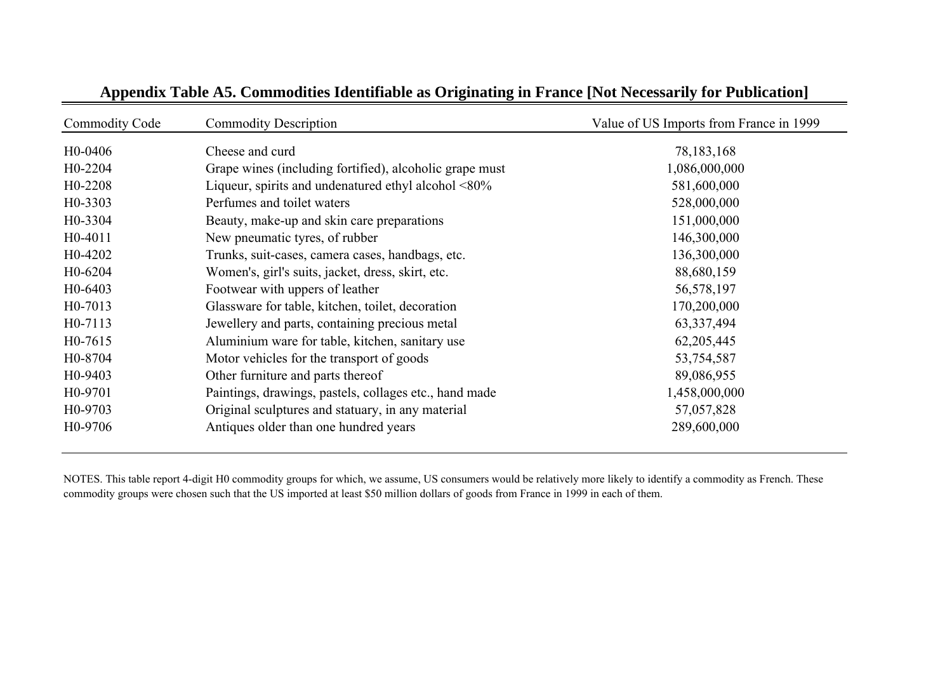| <b>Commodity Code</b> | <b>Commodity Description</b>                               | Value of US Imports from France in 1999 |
|-----------------------|------------------------------------------------------------|-----------------------------------------|
| H <sub>0</sub> -0406  | Cheese and curd                                            | 78, 183, 168                            |
| H <sub>0</sub> -2204  | Grape wines (including fortified), alcoholic grape must    | 1,086,000,000                           |
| H <sub>0</sub> -2208  | Liqueur, spirits and undenatured ethyl alcohol $\leq 80\%$ | 581,600,000                             |
| H <sub>0</sub> -3303  | Perfumes and toilet waters                                 | 528,000,000                             |
| H <sub>0</sub> -3304  | Beauty, make-up and skin care preparations                 | 151,000,000                             |
| H <sub>0</sub> -4011  | New pneumatic tyres, of rubber                             | 146,300,000                             |
| H <sub>0</sub> -4202  | Trunks, suit-cases, camera cases, handbags, etc.           | 136,300,000                             |
| H <sub>0</sub> -6204  | Women's, girl's suits, jacket, dress, skirt, etc.          | 88,680,159                              |
| H <sub>0</sub> -6403  | Footwear with uppers of leather                            | 56,578,197                              |
| H <sub>0</sub> -7013  | Glassware for table, kitchen, toilet, decoration           | 170,200,000                             |
| H <sub>0</sub> -7113  | Jewellery and parts, containing precious metal             | 63, 337, 494                            |
| H <sub>0</sub> -7615  | Aluminium ware for table, kitchen, sanitary use            | 62,205,445                              |
| H0-8704               | Motor vehicles for the transport of goods                  | 53,754,587                              |
| H <sub>0</sub> -9403  | Other furniture and parts thereof                          | 89,086,955                              |
| H <sub>0</sub> -9701  | Paintings, drawings, pastels, collages etc., hand made     | 1,458,000,000                           |
| H <sub>0</sub> -9703  | Original sculptures and statuary, in any material          | 57,057,828                              |
| H <sub>0</sub> -9706  | Antiques older than one hundred years                      | 289,600,000                             |

## **Appendix Table A5. Commodities Identifiable as Originating in France [Not Necessarily for Publication]**

NOTES. This table report 4-digit H0 commodity groups for which, we assume, US consumers would be relatively more likely to identify a commodity as French. These commodity groups were chosen such that the US imported at least \$50 million dollars of goods from France in 1999 in each of them.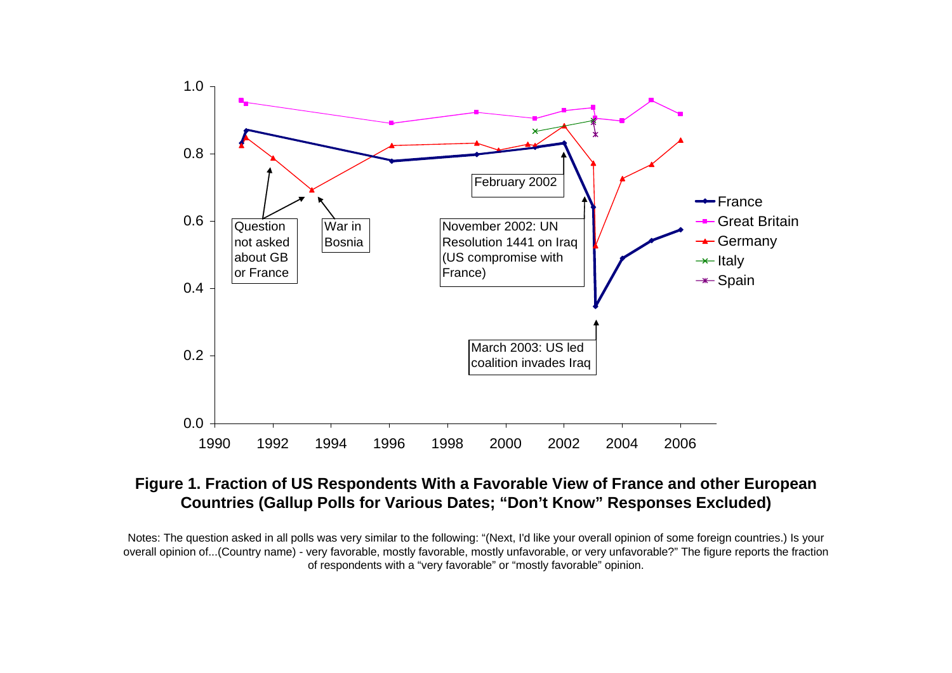

## **Figure 1. Fraction of US Respondents With a Favorable View of France and other European Countries (Gallup Polls for Various Dates; "Don't Know" Responses Excluded)**

Notes: The question asked in all polls was very similar to the following: "(Next, I'd like your overall opinion of some foreign countries.) Is your overall opinion of...(Country name) - very favorable, mostly favorable, mostly unfavorable, or very unfavorable?" The figure reports the fraction of respondents with a "very favorable" or "mostly favorable" opinion.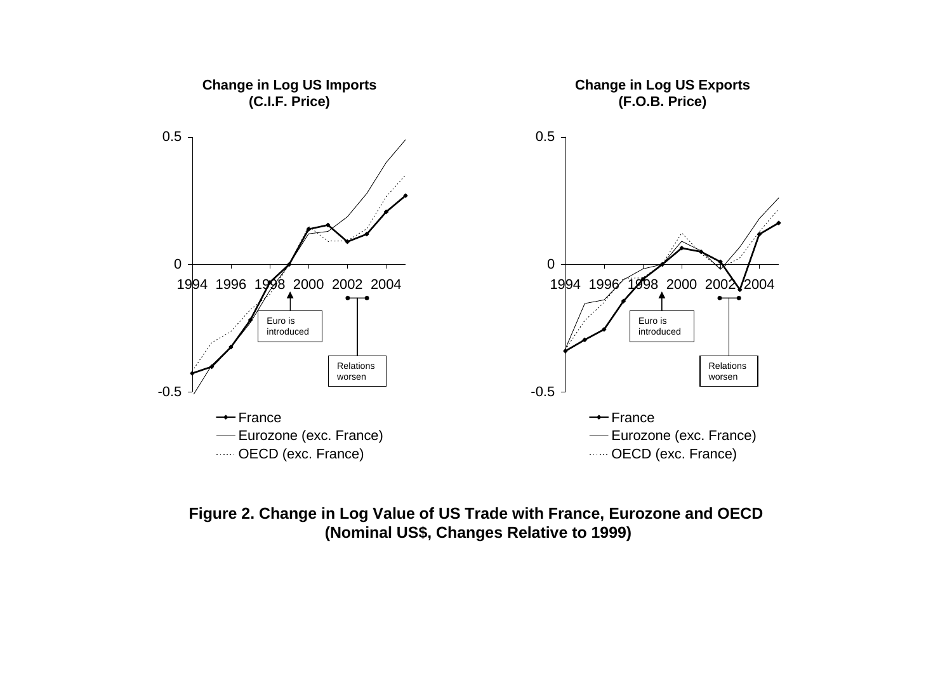

### **Figure 2. Change in Log Value of US Trade with France, Eurozone and OECD (Nominal US\$, Changes Relative to 1999)**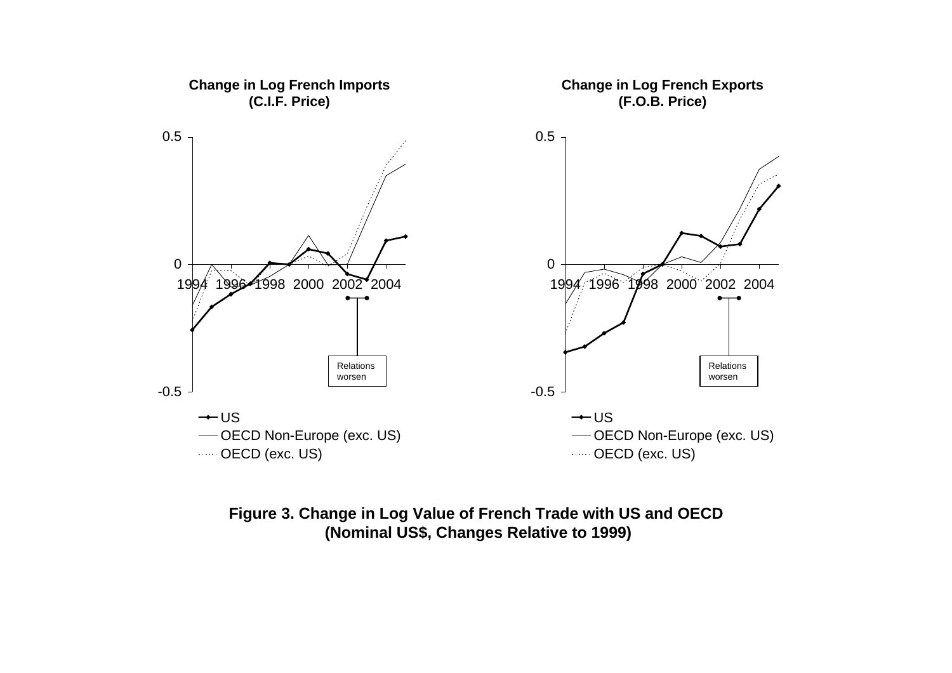

#### **Figure 3. Change in Log Value of French Trade with US and OECD (Nominal US\$, Changes Relative to 1999)**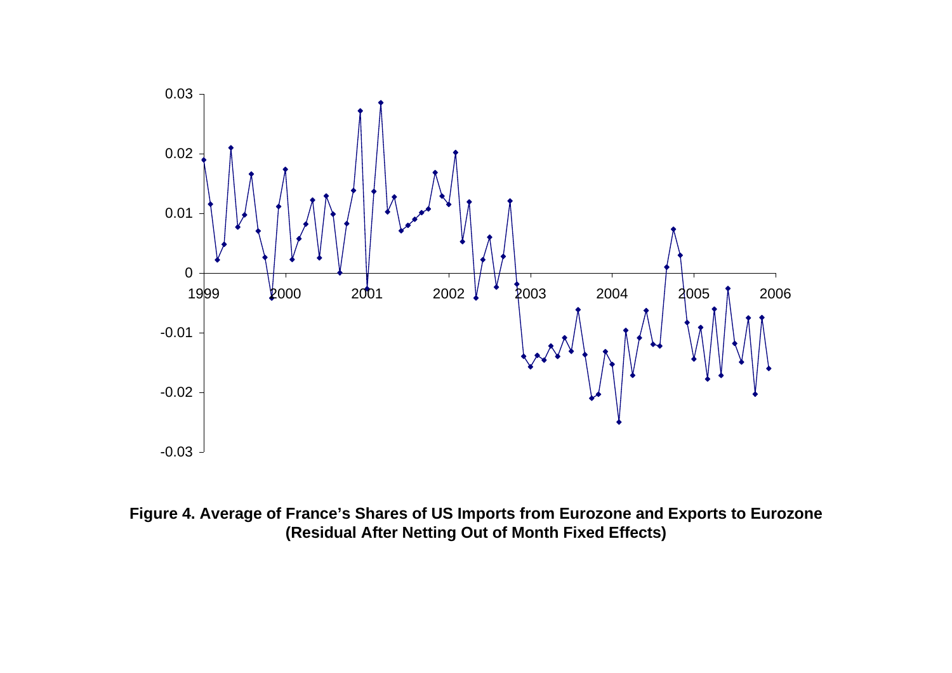

**Figure 4. Average of France's Shares of US Imports from Eurozone and Exports to Eurozone (Residual After Netting Out of Month Fixed Effects)**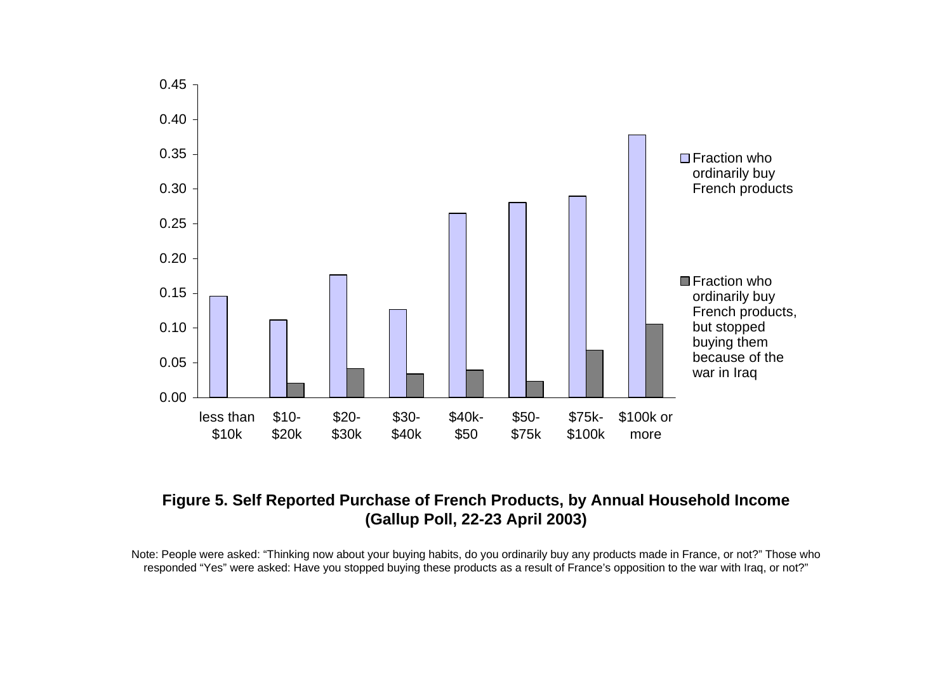

#### **Figure 5. Self Reported Purchase of French Products, by Annual Household Income (Gallup Poll, 22-23 April 2003)**

Note: People were asked: "Thinking now about your buying habits, do you ordinarily buy any products made in France, or not?" Those who responded "Yes" were asked: Have you stopped buying these products as a result of France's opposition to the war with Iraq, or not?"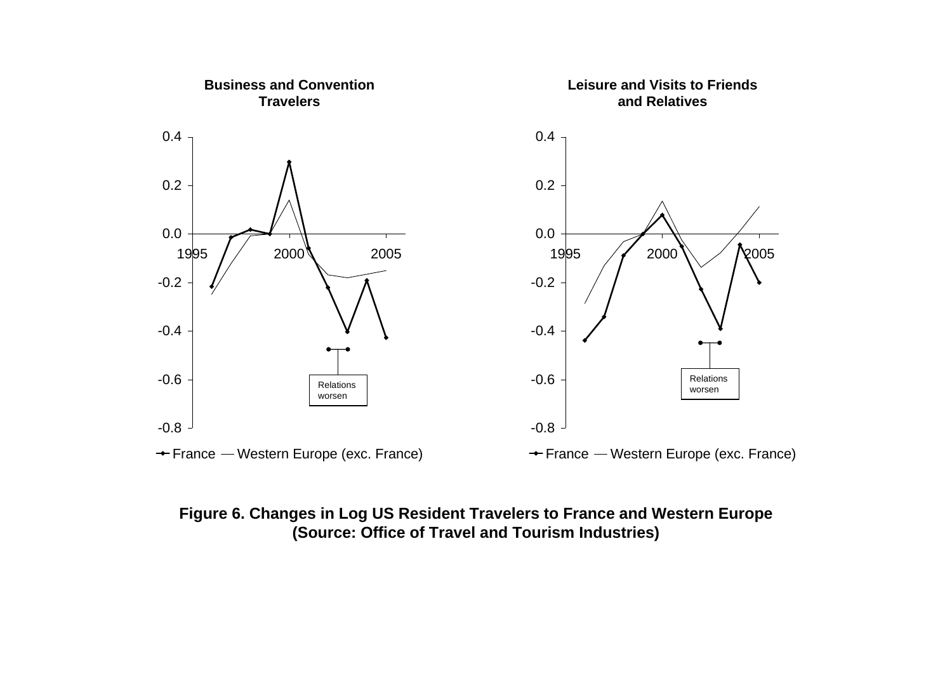

### **Figure 6. Changes in Log US Resident Travelers to France and Western Europe (Source: Office of Travel and Tourism Industries)**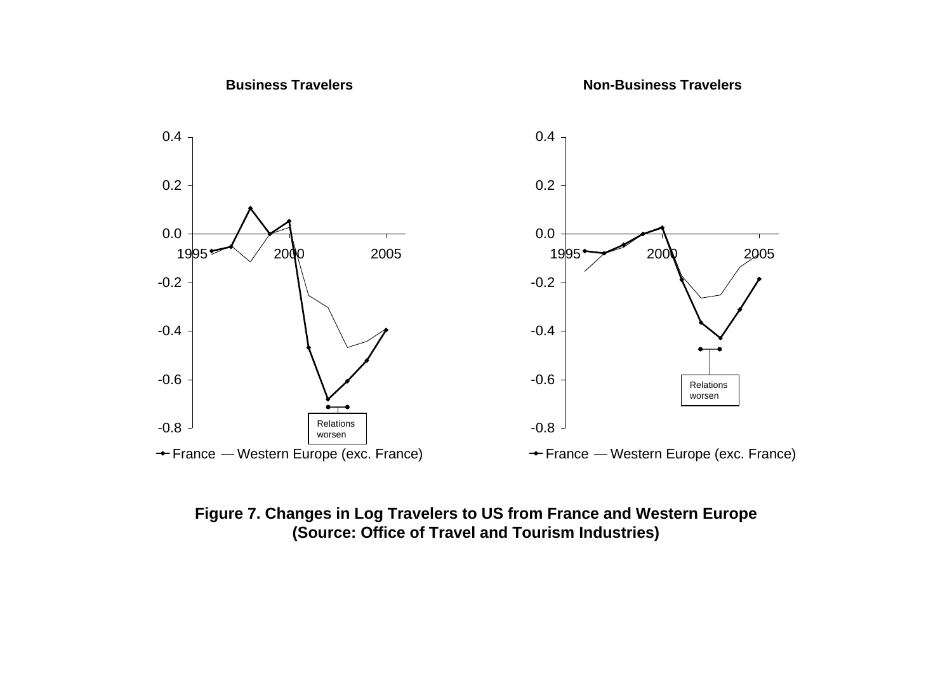

## **Figure 7. Changes in Log Travelers to US from France and Western Europe (Source: Office of Travel and Tourism Industries)**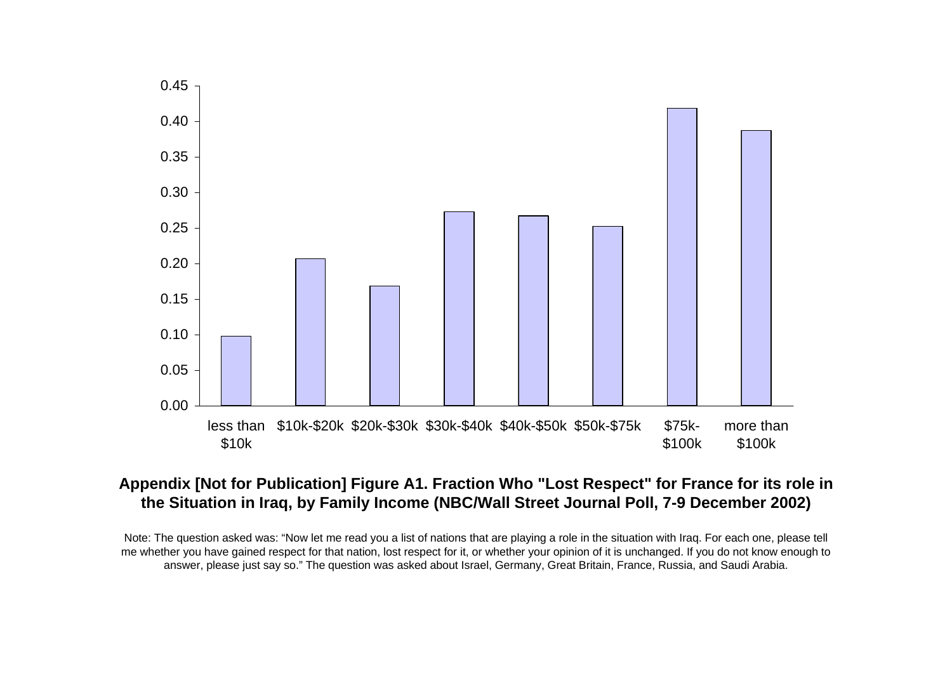

#### **Appendix [Not for Publication] Figure A1. Fraction Who "Lost Respect" for France for its role in the Situation in Iraq, by Family Income (NBC/Wall Street Journal Poll, 7-9 December 2002)**

Note: The question asked was: "Now let me read you a list of nations that are playing a role in the situation with Iraq. For each one, please tell me whether you have gained respect for that nation, lost respect for it, or whether your opinion of it is unchanged. If you do not know enough to answer, please just say so." The question was asked about Israel, Germany, Great Britain, France, Russia, and Saudi Arabia.